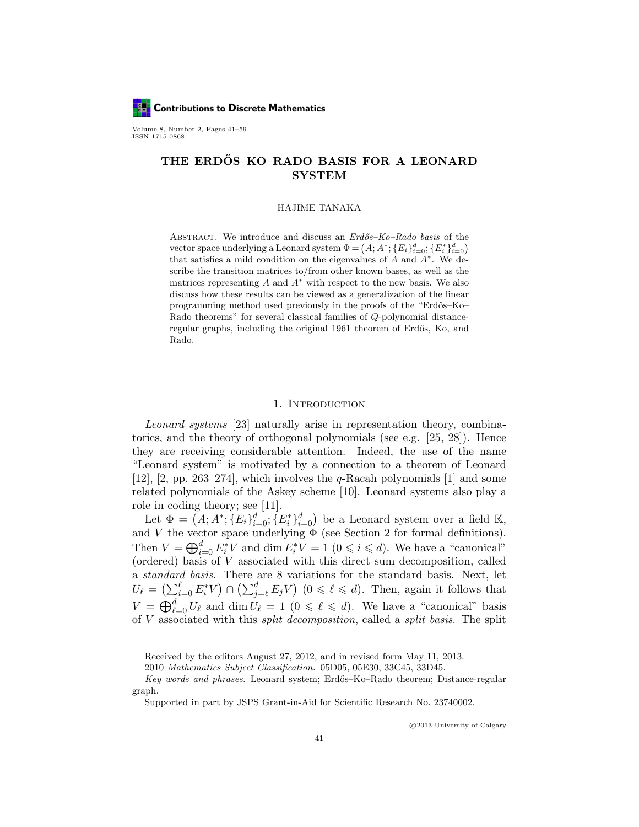

Volume 8, Number 2, Pages 41–59 ISSN 1715-0868

# THE ERDŐS-KO-RADO BASIS FOR A LEONARD SYSTEM

#### HAJIME TANAKA

ABSTRACT. We introduce and discuss an Erdős–Ko–Rado basis of the vector space underlying a Leonard system  $\Phi = (A; A^*; \{E_i\}_{i=0}^d; \{E_i^*\}_{i=0}^d)$ that satisfies a mild condition on the eigenvalues of  $A$  and  $A^*$ . We describe the transition matrices to/from other known bases, as well as the matrices representing  $A$  and  $A^*$  with respect to the new basis. We also discuss how these results can be viewed as a generalization of the linear programming method used previously in the proofs of the "Erdős-Ko-Rado theorems" for several classical families of Q-polynomial distanceregular graphs, including the original 1961 theorem of Erdős, Ko, and Rado.

#### 1. INTRODUCTION

Leonard systems [23] naturally arise in representation theory, combinatorics, and the theory of orthogonal polynomials (see e.g. [25, 28]). Hence they are receiving considerable attention. Indeed, the use of the name "Leonard system" is motivated by a connection to a theorem of Leonard [12], [2, pp. 263–274], which involves the  $q$ -Racah polynomials [1] and some related polynomials of the Askey scheme [10]. Leonard systems also play a role in coding theory; see [11].

Let  $\Phi = (A; A^*; \{E_i\}_{i=0}^d; \{E_i^*\}_{i=0}^d)$  be a Leonard system over a field K, and V the vector space underlying  $\Phi$  (see Section 2 for formal definitions). Then  $V = \bigoplus_{i=0}^d E_i^* V$  and  $\dim E_i^* V = 1$   $(0 \leq i \leq d)$ . We have a "canonical" (ordered) basis of V associated with this direct sum decomposition, called a standard basis. There are 8 variations for the standard basis. Next, let  $U_{\ell} = \left(\sum_{i=0}^{\ell} E_i^* V\right) \cap \left(\sum_{j=\ell}^d E_j V\right) \ (0 \leq \ell \leq d).$  Then, again it follows that  $V = \bigoplus_{\ell=0}^d U_\ell$  and  $\dim U_\ell = 1$   $(0 \leq \ell \leq d)$ . We have a "canonical" basis of V associated with this split decomposition, called a split basis. The split

Received by the editors August 27, 2012, and in revised form May 11, 2013.

<sup>2010</sup> Mathematics Subject Classification. 05D05, 05E30, 33C45, 33D45.

Key words and phrases. Leonard system; Erdős–Ko–Rado theorem; Distance-regular graph.

Supported in part by JSPS Grant-in-Aid for Scientific Research No. 23740002.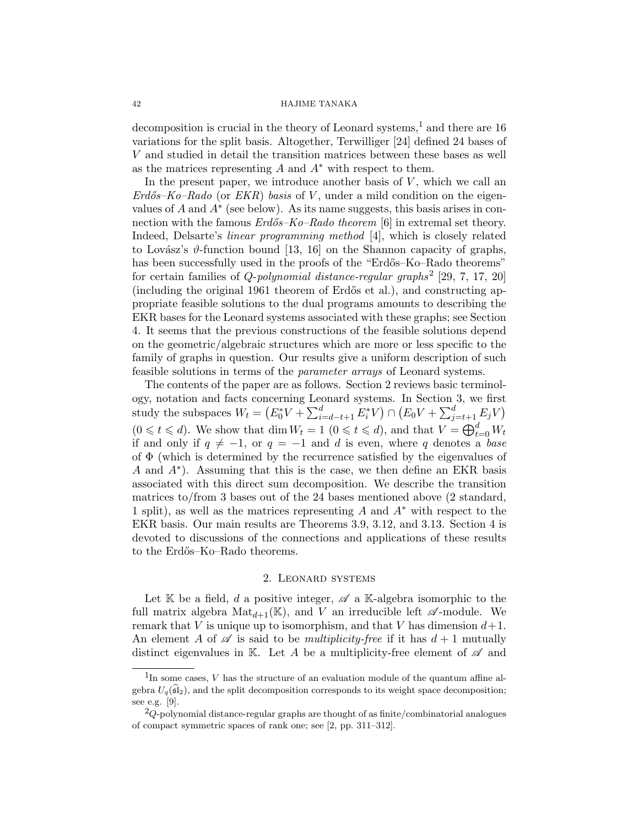#### 42 HAJIME TANAKA

decomposition is crucial in the theory of Leonard systems,<sup>1</sup> and there are 16 variations for the split basis. Altogether, Terwilliger [24] defined 24 bases of V and studied in detail the transition matrices between these bases as well as the matrices representing  $A$  and  $A^*$  with respect to them.

In the present paper, we introduce another basis of  $V$ , which we call an  $Erd\ddot{o}s-Ko-Rado$  (or  $EKR$ ) basis of V, under a mild condition on the eigenvalues of  $A$  and  $A^*$  (see below). As its name suggests, this basis arises in connection with the famous  $Erd\ddot{o}s-Ko-Rado$  theorem [6] in extremal set theory. Indeed, Delsarte's linear programming method [4], which is closely related to Lovász's  $\vartheta$ -function bound [13, 16] on the Shannon capacity of graphs, has been successfully used in the proofs of the "Erdős–Ko–Rado theorems" for certain families of  $Q$ -polynomial distance-regular graphs<sup>2</sup> [29, 7, 17, 20] (including the original 1961 theorem of Erdős et al.), and constructing appropriate feasible solutions to the dual programs amounts to describing the EKR bases for the Leonard systems associated with these graphs; see Section 4. It seems that the previous constructions of the feasible solutions depend on the geometric/algebraic structures which are more or less specific to the family of graphs in question. Our results give a uniform description of such feasible solutions in terms of the parameter arrays of Leonard systems.

The contents of the paper are as follows. Section 2 reviews basic terminology, notation and facts concerning Leonard systems. In Section 3, we first study the subspaces  $W_t = (E_0^* V + \sum_{i=d-t+1}^d E_i^* V) \cap (E_0 V + \sum_{j=t+1}^d E_j V)$  $(0 \leq t \leq d)$ . We show that dim  $W_t = 1$   $(0 \leq t \leq d)$ , and that  $V = \bigoplus_{t=0}^d W_t$ if and only if  $q \neq -1$ , or  $q = -1$  and d is even, where q denotes a base of  $\Phi$  (which is determined by the recurrence satisfied by the eigenvalues of A and  $A^*$ ). Assuming that this is the case, we then define an EKR basis associated with this direct sum decomposition. We describe the transition matrices to/from 3 bases out of the 24 bases mentioned above (2 standard, 1 split), as well as the matrices representing A and  $A^*$  with respect to the EKR basis. Our main results are Theorems 3.9, 3.12, and 3.13. Section 4 is devoted to discussions of the connections and applications of these results to the Erdős–Ko–Rado theorems.

#### 2. Leonard systems

Let K be a field, d a positive integer,  $\mathscr A$  a K-algebra isomorphic to the full matrix algebra  $Mat_{d+1}(\mathbb{K})$ , and V an irreducible left  $\mathscr{A}$ -module. We remark that V is unique up to isomorphism, and that V has dimension  $d+1$ . An element A of  $\mathscr A$  is said to be *multiplicity-free* if it has  $d+1$  mutually distinct eigenvalues in K. Let A be a multiplicity-free element of  $\mathscr A$  and

 $1$ In some cases,  $V$  has the structure of an evaluation module of the quantum affine algebra  $U_q(\widehat{\mathfrak{sl}}_2)$ , and the split decomposition corresponds to its weight space decomposition; see e.g. [9].

 $^{2}Q$ -polynomial distance-regular graphs are thought of as finite/combinatorial analogues of compact symmetric spaces of rank one; see [2, pp. 311–312].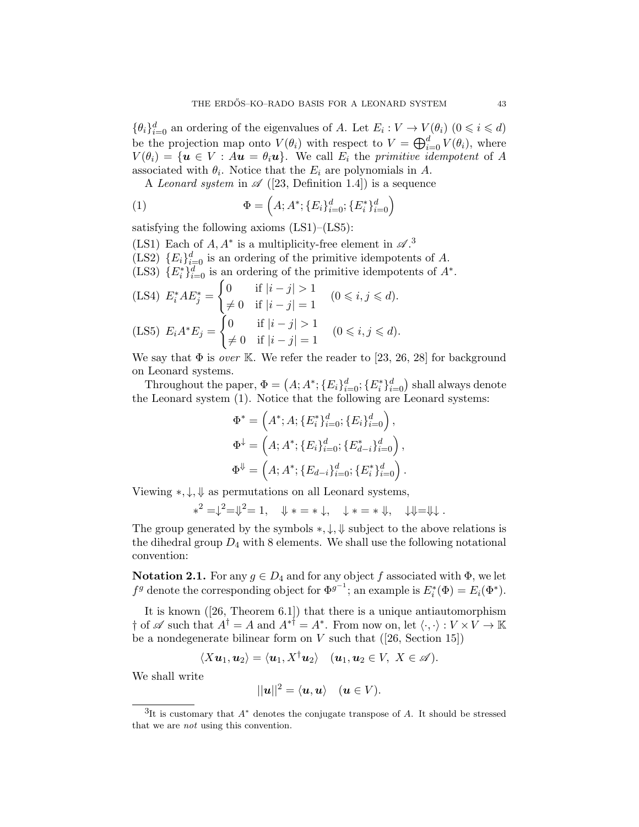$\{\theta_i\}_{i=0}^d$  an ordering of the eigenvalues of A. Let  $E_i: V \to V(\theta_i)$   $(0 \leq i \leq d)$ be the projection map onto  $V(\theta_i)$  with respect to  $V = \bigoplus_{i=0}^d V(\theta_i)$ , where  $V(\theta_i) = \{ \mathbf{u} \in V : A\mathbf{u} = \theta_i \mathbf{u} \}.$  We call  $E_i$  the primitive idempotent of A associated with  $\theta_i$ . Notice that the  $E_i$  are polynomials in A.

A Leonard system in  $\mathscr{A}$  ([23, Definition 1.4]) is a sequence

(1) 
$$
\Phi = \left( A; A^*; \{ E_i \}_{i=0}^d; \{ E_i^* \}_{i=0}^d \right)
$$

satisfying the following axioms (LS1)–(LS5):

(LS1) Each of  $A, A^*$  is a multiplicity-free element in  $\mathscr{A}$ .<sup>3</sup>

- (LS2)  ${E_i}_{i=0}^d$  is an ordering of the primitive idempotents of A.
- (LS3)  ${E_i^*}_{i=0}^d$  is an ordering of the primitive idempotents of  $A^*$ .

(LS4) 
$$
E_i^* AE_j^* = \begin{cases} 0 & \text{if } |i - j| > 1 \\ \neq 0 & \text{if } |i - j| = 1 \\ 0 & \text{if } |i - j| = 1 \end{cases}
$$
  $(0 \le i, j \le d).$   
(LS5)  $E_i A^* E_j = \begin{cases} 0 & \text{if } |i - j| > 1 \\ \neq 0 & \text{if } |i - j| = 1 \\ \end{cases}$   $(0 \le i, j \le d).$ 

We say that  $\Phi$  is *over* K. We refer the reader to [23, 26, 28] for background on Leonard systems.

Throughout the paper,  $\Phi = (A; A^*; \{E_i\}_{i=0}^d; \{E_i^*\}_{i=0}^d)$  shall always denote the Leonard system (1). Notice that the following are Leonard systems:

$$
\Phi^* = \left(A^*; A; \{E_i^*\}_{i=0}^d; \{E_i\}_{i=0}^d\right),
$$
  

$$
\Phi^\downarrow = \left(A; A^*; \{E_i\}_{i=0}^d; \{E_{d-i}^*\}_{i=0}^d\right),
$$
  

$$
\Phi^\Downarrow = \left(A; A^*; \{E_{d-i}\}_{i=0}^d; \{E_i^*\}_{i=0}^d\right).
$$

Viewing ∗, ↓, ⇓ as permutations on all Leonard systems,

$$
*^2 = \downarrow^2 = \Downarrow^2 = 1, \quad \Downarrow * = * \downarrow, \quad \downarrow * = * \Downarrow, \quad \downarrow \Downarrow = \Downarrow \downarrow.
$$

The group generated by the symbols  $*, \downarrow, \Downarrow$  subject to the above relations is the dihedral group  $D_4$  with 8 elements. We shall use the following notational convention:

**Notation 2.1.** For any  $g \in D_4$  and for any object f associated with  $\Phi$ , we let  $f^g$  denote the corresponding object for  $\Phi^{g^{-1}}$ ; an example is  $E_i^*(\Phi) = E_i(\Phi^*)$ .

It is known ([26, Theorem 6.1]) that there is a unique antiautomorphism  $\dagger$  of  $\mathscr A$  such that  $A^{\dagger} = A$  and  $A^{*\dagger} = A^*$ . From now on, let  $\langle \cdot, \cdot \rangle : V \times V \to \mathbb K$ be a nondegenerate bilinear form on  $V$  such that  $([26, Section 15])$ 

$$
\langle Xu_1, u_2\rangle = \langle u_1, X^{\dagger}u_2\rangle \quad (u_1, u_2 \in V, \ X \in \mathscr{A}).
$$

We shall write

$$
||u||^2 = \langle u, u \rangle \quad (u \in V).
$$

<sup>&</sup>lt;sup>3</sup>It is customary that  $A^*$  denotes the conjugate transpose of A. It should be stressed that we are not using this convention.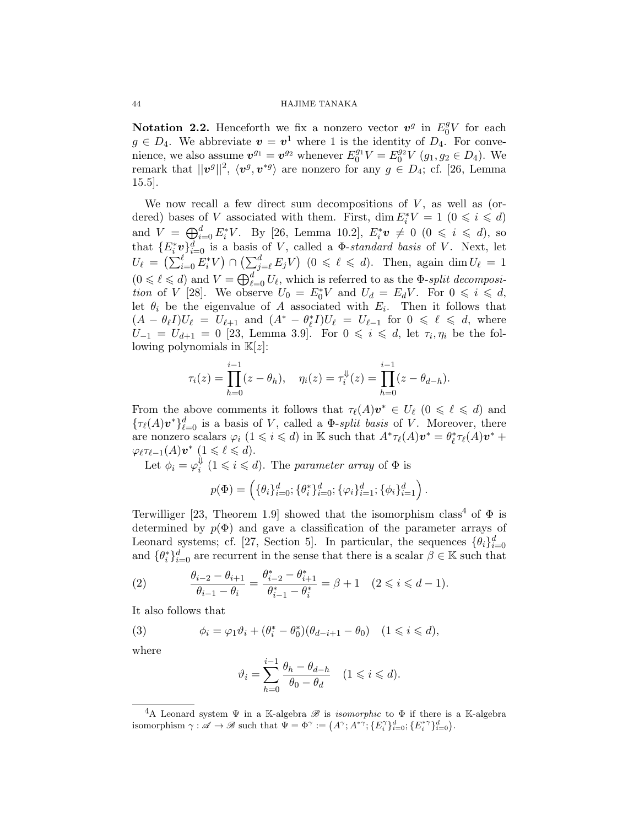Notation 2.2. Henceforth we fix a nonzero vector  $v^g$  in  $E_0^gV$  for each  $g \in D_4$ . We abbreviate  $\mathbf{v} = \mathbf{v}^1$  where 1 is the identity of  $D_4$ . For convenience, we also assume  $v^{g_1} = v^{g_2}$  whenever  $E_0^{g_1} V = E_0^{g_2} V (g_1, g_2 \in D_4)$ . We remark that  $||v^g||^2$ ,  $\langle v^g, v^{*g} \rangle$  are nonzero for any  $g \in D_4$ ; cf. [26, Lemma 15.5].

We now recall a few direct sum decompositions of  $V$ , as well as (ordered) bases of V associated with them. First,  $\dim E_i^*V = 1$   $(0 \leq i \leq d)$ and  $V = \bigoplus_{i=0}^{d} E_i^* V$ . By [26, Lemma 10.2],  $E_i^* v \neq 0$  ( $0 \leq i \leq d$ ), so that  ${E_i^*}v_{i=0}^d$  is a basis of V, called a  $\Phi$ -standard basis of V. Next, let  $U_{\ell} = \left( \sum_{i=0}^{\ell} E_i^* V \right) \cap \left( \sum_{j=\ell}^d E_j V \right) \ (0 \leq \ell \leq d).$  Then, again dim  $U_{\ell} = 1$  $(0 \le \ell \le d)$  and  $V = \bigoplus_{\ell=0}^d U_\ell$ , which is referred to as the  $\Phi$ -split decomposition of V [28]. We observe  $U_0 = E_0^* V$  and  $U_d = E_d V$ . For  $0 \leqslant i \leqslant d$ , let  $\theta_i$  be the eigenvalue of A associated with  $E_i$ . Then it follows that  $(A - \theta_{\ell}I)U_{\ell} = U_{\ell+1}$  and  $(A^* - \theta_{\ell}^*I)U_{\ell} = U_{\ell-1}$  for  $0 \leq \ell \leq d$ , where  $U_{-1} = U_{d+1} = 0$  [23, Lemma 3.9]. For  $0 \leq i \leq d$ , let  $\tau_i, \eta_i$  be the following polynomials in  $K[z]$ :

$$
\tau_i(z) = \prod_{h=0}^{i-1} (z - \theta_h), \quad \eta_i(z) = \tau_i^{\Downarrow}(z) = \prod_{h=0}^{i-1} (z - \theta_{d-h}).
$$

From the above comments it follows that  $\tau_{\ell}(A)v^* \in U_{\ell}$   $(0 \leq \ell \leq d)$  and  ${\{\tau_{\ell}(A)\boldsymbol{v}^*\}}_{\ell=0}^d$  is a basis of V, called a  $\Phi$ -split basis of V. Moreover, there are nonzero scalars  $\varphi_i$   $(1 \leq i \leq d)$  in K such that  $A^*\tau_{\ell}(A)\mathbf{v}^* = \theta_{\ell}^*\tau_{\ell}(A)\mathbf{v}^* +$  $\varphi_{\ell} \tau_{\ell-1}(A) \mathbf{v}^* \ (1 \leqslant \ell \leqslant d).$ 

Let  $\phi_i = \varphi_i^{\Downarrow}$  $i \nmid (1 \leq i \leq d)$ . The parameter array of  $\Phi$  is

$$
p(\Phi) = \left( \{ \theta_i \}_{i=0}^d; \{ \theta_i^* \}_{i=0}^d; \{ \varphi_i \}_{i=1}^d; \{ \phi_i \}_{i=1}^d \right).
$$

Terwilliger [23, Theorem 1.9] showed that the isomorphism class<sup>4</sup> of  $\Phi$  is determined by  $p(\Phi)$  and gave a classification of the parameter arrays of Leonard systems; cf. [27, Section 5]. In particular, the sequences  $\{\theta_i\}_{i=0}^d$ and  $\{\theta_i^*\}_{i=0}^d$  are recurrent in the sense that there is a scalar  $\beta \in \mathbb{K}$  such that

(2) 
$$
\frac{\theta_{i-2} - \theta_{i+1}}{\theta_{i-1} - \theta_i} = \frac{\theta_{i-2}^* - \theta_{i+1}^*}{\theta_{i-1}^* - \theta_i^*} = \beta + 1 \quad (2 \leq i \leq d - 1).
$$

It also follows that

(3) 
$$
\phi_i = \varphi_1 \vartheta_i + (\theta_i^* - \theta_0^*)(\theta_{d-i+1} - \theta_0) \quad (1 \leq i \leq d),
$$

where

$$
\vartheta_i = \sum_{h=0}^{i-1} \frac{\theta_h - \theta_{d-h}}{\theta_0 - \theta_d} \quad (1 \leqslant i \leqslant d).
$$

<sup>&</sup>lt;sup>4</sup>A Leonard system  $\Psi$  in a K-algebra  $\mathscr B$  is *isomorphic* to  $\Phi$  if there is a K-algebra isomorphism  $\gamma : \mathscr{A} \to \mathscr{B}$  such that  $\Psi = \Phi^{\gamma} := (A^{\gamma}; A^{*\gamma}; \{E_i^{\gamma}\}_{i=0}^d; \{E_i^{*\gamma}\}_{i=0}^d)$ .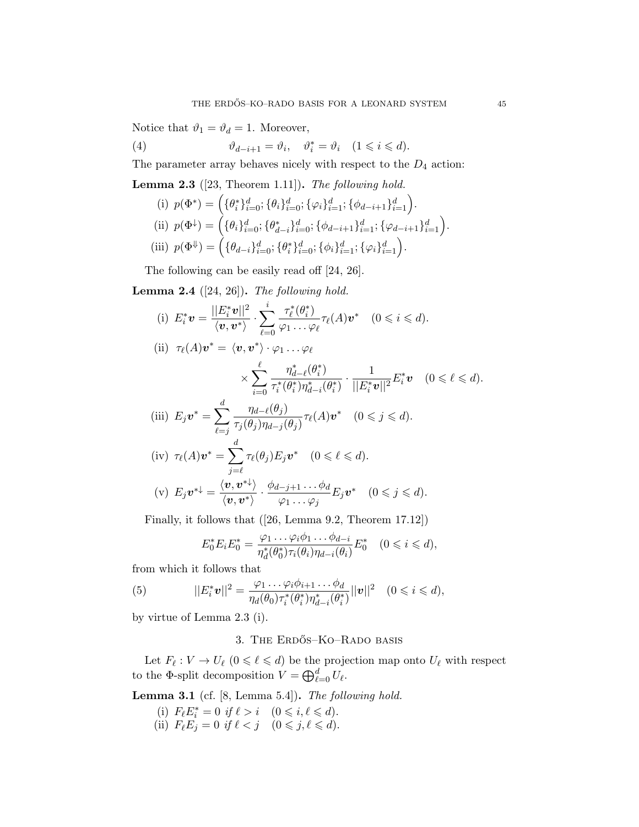Notice that  $\vartheta_1 = \vartheta_d = 1$ . Moreover,

(4) 
$$
\vartheta_{d-i+1} = \vartheta_i, \quad \vartheta_i^* = \vartheta_i \quad (1 \leq i \leq d).
$$

The parameter array behaves nicely with respect to the  $D_4$  action:

**Lemma 2.3** ([23, Theorem 1.11]). The following hold.

(i) 
$$
p(\Phi^*) = (\{\theta_i^*\}_{i=0}^d; \{\theta_i\}_{i=0}^d; \{\varphi_i\}_{i=1}^d; \{\phi_{d-i+1}\}_{i=1}^d).
$$
  
\n(ii)  $p(\Phi^{\downarrow}) = (\{\theta_i\}_{i=0}^d; \{\theta_{d-i}^*\}_{i=0}^d; \{\phi_{d-i+1}\}_{i=1}^d; \{\varphi_{d-i+1}\}_{i=1}^d).$   
\n(iii)  $p(\Phi^{\Downarrow}) = (\{\theta_{d-i}\}_{i=0}^d; \{\theta_i^*\}_{i=0}^d; \{\phi_i\}_{i=1}^d; \{\varphi_i\}_{i=1}^d).$ 

The following can be easily read off [24, 26].

**Lemma 2.4** ([24, 26]). The following hold.

(i) 
$$
E_i^* \mathbf{v} = \frac{||E_i^* \mathbf{v}||^2}{\langle \mathbf{v}, \mathbf{v}^* \rangle} \cdot \sum_{\ell=0}^i \frac{\tau_\ell^*(\theta_i^*)}{\varphi_1 \dots \varphi_\ell} \tau_\ell(A) \mathbf{v}^*
$$
  $(0 \le i \le d)$ .

$$
\text{(ii)} \;\; \tau_\ell(A) \bm{v}^* = \langle \bm{v}, \bm{v}^* \rangle \cdot \varphi_1 \ldots \varphi_\ell
$$

$$
\times \sum_{i=0}^{\ell} \frac{\eta_{d-\ell}^*(\theta_i^*)}{\tau_i^*(\theta_i^*) \eta_{d-i}^*(\theta_i^*)} \cdot \frac{1}{||E_i^* \mathbf{v}||^2} E_i^* \mathbf{v} \quad (0 \le \ell \le d).
$$
  

$$
E_i \mathbf{v}_i^* \sum_{j=0}^{\ell} \frac{\eta_{d-\ell}(\theta_j)}{\eta_{d-\ell}(\theta_j)} \quad (1) \mathbf{v}_i^* \quad (0 \le i \le d).
$$

(iii) 
$$
E_j \mathbf{v}^* = \sum_{\ell=j} \frac{\eta_d \ell(\theta_j)}{\tau_j(\theta_j) \eta_{d-j}(\theta_j)} \tau_\ell(A) \mathbf{v}^*
$$
  $(0 \le j \le d).$ 

(iv) 
$$
\tau_{\ell}(A)\mathbf{v}^* = \sum_{j=\ell} \tau_{\ell}(\theta_j) E_j \mathbf{v}^*
$$
  $(0 \le \ell \le d).$   
\n(v)  $E_j \mathbf{v}^* = \frac{\langle \mathbf{v}, \mathbf{v}^* \rangle}{\langle \mathbf{v}, \mathbf{v}^* \rangle} \cdot \frac{\phi_{d-j+1} \dots \phi_d}{\varphi_1 \dots \varphi_j} E_j \mathbf{v}^*$   $(0 \le j \le d).$ 

Finally, it follows that ([26, Lemma 9.2, Theorem 17.12])

$$
E_0^* E_i E_0^* = \frac{\varphi_1 \dots \varphi_i \phi_1 \dots \phi_{d-i}}{\eta_d^*(\theta_0^*) \tau_i(\theta_i) \eta_{d-i}(\theta_i)} E_0^* \quad (0 \leq i \leq d),
$$

from which it follows that

(5) 
$$
||E_i^* \mathbf{v}||^2 = \frac{\varphi_1 \dots \varphi_i \phi_{i+1} \dots \phi_d}{\eta_d(\theta_0) \tau_i^*(\theta_i^*) \eta_{d-i}^*(\theta_i^*)} ||\mathbf{v}||^2 \quad (0 \leq i \leq d),
$$

by virtue of Lemma 2.3 (i).

## 3. The Erdős–Ko–Rado basis

Let  $F_\ell : V \to U_\ell \ (0 \leq \ell \leq d)$  be the projection map onto  $U_\ell$  with respect to the  $\Phi$ -split decomposition  $V = \bigoplus_{\ell=0}^d U_{\ell}$ .

Lemma 3.1 (cf. [8, Lemma 5.4]). The following hold.

(i)  $F_{\ell} E_i^* = 0$  if  $\ell > i \quad (0 \leq i, \ell \leq d).$ (ii)  $F_{\ell}E_j = 0$  if  $\ell < j \quad (0 \leq j, \ell \leq d).$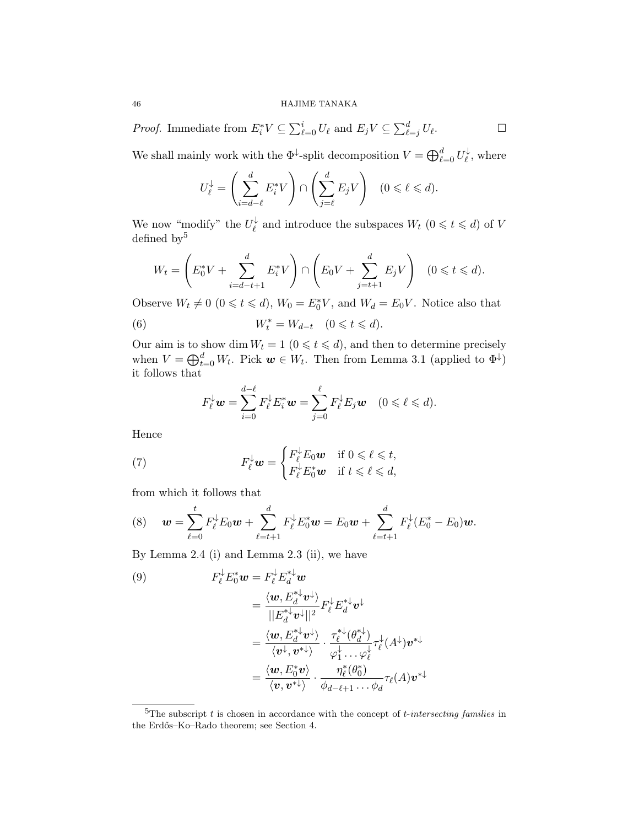*Proof.* Immediate from  $E_i^* V \subseteq \sum_{\ell=0}^i U_\ell$  and  $E_j V \subseteq \sum_{\ell=j}^d U_\ell$  $\Box$ 

We shall mainly work with the  $\Phi^{\downarrow}$ -split decomposition  $V = \bigoplus_{\ell=0}^d U_{\ell}^{\downarrow}$  $\vec{\ell}$ , where

$$
U_{\ell}^{\downarrow} = \left(\sum_{i=d-\ell}^{d} E_i^* V\right) \cap \left(\sum_{j=\ell}^{d} E_j V\right) \quad (0 \leq \ell \leq d).
$$

We now "modify" the  $U_{\ell}^{\downarrow}$  $\psi$  and introduce the subspaces  $W_t$   $(0 \leq t \leq d)$  of V defined by  $5$ 

$$
W_t = \left( E_0^* V + \sum_{i=d-t+1}^d E_i^* V \right) \cap \left( E_0 V + \sum_{j=t+1}^d E_j V \right) \quad (0 \le t \le d).
$$

Observe  $W_t \neq 0$   $(0 \le t \le d)$ ,  $W_0 = E_0^* V$ , and  $W_d = E_0 V$ . Notice also that

(6) 
$$
W_t^* = W_{d-t} \quad (0 \leq t \leq d).
$$

Our aim is to show dim  $W_t = 1$   $(0 \leq t \leq d)$ , and then to determine precisely when  $V = \bigoplus_{t=0}^d W_t$ . Pick  $w \in W_t$ . Then from Lemma 3.1 (applied to  $\Phi^{\downarrow}$ ) it follows that

$$
F_{\ell}^{\downarrow} \mathbf{w} = \sum_{i=0}^{d-\ell} F_{\ell}^{\downarrow} E_i^* \mathbf{w} = \sum_{j=0}^{\ell} F_{\ell}^{\downarrow} E_j \mathbf{w} \quad (0 \leq \ell \leq d).
$$

Hence

(7) 
$$
F_{\ell}^{\downarrow} \mathbf{w} = \begin{cases} F_{\ell}^{\downarrow} E_0 \mathbf{w} & \text{if } 0 \leq \ell \leq t, \\ F_{\ell}^{\downarrow} E_0^* \mathbf{w} & \text{if } t \leq \ell \leq d, \end{cases}
$$

from which it follows that

(8) 
$$
\mathbf{w} = \sum_{\ell=0}^t F_{\ell}^{\downarrow} E_0 \mathbf{w} + \sum_{\ell=t+1}^d F_{\ell}^{\downarrow} E_0^* \mathbf{w} = E_0 \mathbf{w} + \sum_{\ell=t+1}^d F_{\ell}^{\downarrow} (E_0^* - E_0) \mathbf{w}.
$$

By Lemma 2.4 (i) and Lemma 2.3 (ii), we have

(9)  
\n
$$
F_{\ell}^{\downarrow} E_0^* \mathbf{w} = F_{\ell}^{\downarrow} E_d^{*\downarrow} \mathbf{w}
$$
\n
$$
= \frac{\langle \mathbf{w}, E_d^{*\downarrow} \mathbf{v}^{\downarrow} \rangle}{||E_d^{*\downarrow} \mathbf{v}^{\downarrow}||^2} F_{\ell}^{\downarrow} E_d^{*\downarrow} \mathbf{v}^{\downarrow}
$$
\n
$$
= \frac{\langle \mathbf{w}, E_d^{*\downarrow} \mathbf{v}^{\downarrow} \rangle}{\langle \mathbf{v}^{\downarrow}, \mathbf{v}^{\downarrow} \rangle} \cdot \frac{\tau_{\ell}^{*\downarrow}(\theta_d^{*\downarrow})}{\varphi_1^{\downarrow} \cdots \varphi_\ell^{\downarrow}} \tau_{\ell}^{\downarrow}(A^{\downarrow}) \mathbf{v}^{*\downarrow}
$$
\n
$$
= \frac{\langle \mathbf{w}, E_0^* \mathbf{v} \rangle}{\langle \mathbf{v}, \mathbf{v}^{\downarrow} \rangle} \cdot \frac{\eta_{\ell}^*(\theta_0^*)}{\phi_{d-\ell+1} \cdots \phi_d} \tau_{\ell}(A) \mathbf{v}^{*\downarrow}
$$

 ${}^{5}$ The subscript t is chosen in accordance with the concept of t-intersecting families in the Erdős–Ko–Rado theorem; see Section 4.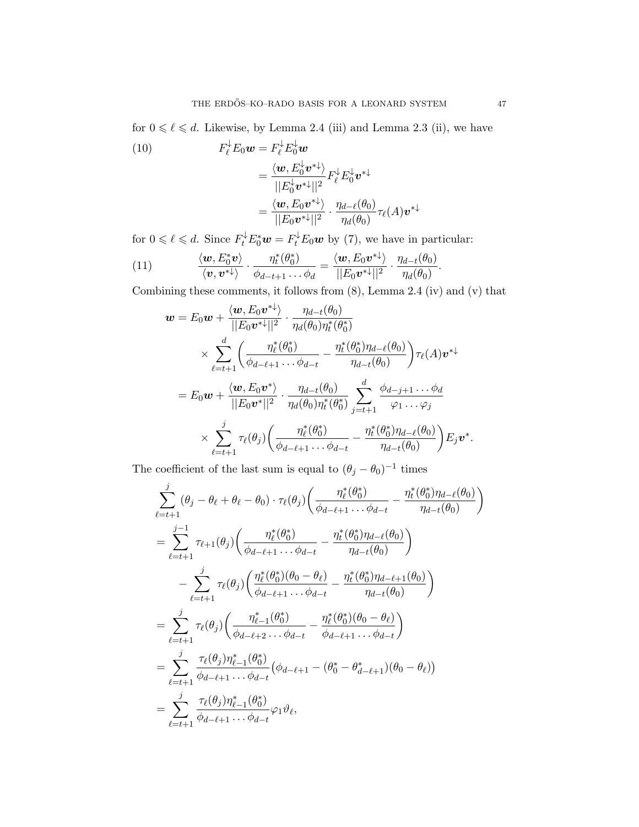for  $0 \le \ell \le d$ . Likewise, by Lemma 2.4 (iii) and Lemma 2.3 (ii), we have

(10)  
\n
$$
F_{\ell}^{\downarrow} E_0 \mathbf{w} = F_{\ell}^{\downarrow} E_0^{\downarrow} \mathbf{w}
$$
\n
$$
= \frac{\langle \mathbf{w}, E_0^{\downarrow} \mathbf{v}^{*\downarrow} \rangle}{||E_0^{\downarrow} \mathbf{v}^{*\downarrow}||^2} F_{\ell}^{\downarrow} E_0^{\downarrow} \mathbf{v}^{*\downarrow}
$$
\n
$$
= \frac{\langle \mathbf{w}, E_0 \mathbf{v}^{*\downarrow} \rangle}{||E_0 \mathbf{v}^{*\downarrow}||^2} \cdot \frac{\eta_{d-\ell}(\theta_0)}{\eta_d(\theta_0)} \tau_{\ell}(A) \mathbf{v}^{*\downarrow}
$$

for  $0 \le \ell \le d$ . Since  $F_t^{\downarrow} E_0^* \mathbf{w} = F_t^{\downarrow} E_0 \mathbf{w}$  by (7), we have in particular:

(11) 
$$
\frac{\langle \mathbf{w}, E_0^* \mathbf{v} \rangle}{\langle \mathbf{v}, \mathbf{v}^* \rangle} \cdot \frac{\eta_t^* (\theta_0^*)}{\phi_{d-t+1} \dots \phi_d} = \frac{\langle \mathbf{w}, E_0 \mathbf{v}^* \rangle}{||E_0 \mathbf{v}^* ||^2} \cdot \frac{\eta_{d-t}(\theta_0)}{\eta_d(\theta_0)}.
$$

Combining these comments, it follows from (8), Lemma 2.4 (iv) and (v) that

$$
\mathbf{w} = E_0 \mathbf{w} + \frac{\langle \mathbf{w}, E_0 \mathbf{v}^* \rangle}{||E_0 \mathbf{v}^*||^2} \cdot \frac{\eta_{d-t}(\theta_0)}{\eta_d(\theta_0)\eta_t^*(\theta_0^*)} \times \sum_{\ell=t+1}^d \left( \frac{\eta_\ell^*(\theta_0^*)}{\phi_{d-\ell+1} \cdots \phi_{d-t}} - \frac{\eta_t^*(\theta_0^*)\eta_{d-\ell}(\theta_0)}{\eta_{d-t}(\theta_0)} \right) \tau_\ell(A) \mathbf{v}^* \mathbf{w}^* = E_0 \mathbf{w} + \frac{\langle \mathbf{w}, E_0 \mathbf{v}^* \rangle}{||E_0 \mathbf{v}^*||^2} \cdot \frac{\eta_{d-t}(\theta_0)}{\eta_d(\theta_0)\eta_t^*(\theta_0^*)} \sum_{j=t+1}^d \frac{\phi_{d-j+1} \cdots \phi_d}{\varphi_1 \cdots \varphi_j} \times \sum_{\ell=t+1}^j \tau_\ell(\theta_j) \left( \frac{\eta_\ell^*(\theta_0^*)}{\phi_{d-\ell+1} \cdots \phi_{d-t}} - \frac{\eta_t^*(\theta_0^*)\eta_{d-\ell}(\theta_0)}{\eta_{d-t}(\theta_0)} \right) E_j \mathbf{v}^*.
$$

The coefficient of the last sum is equal to  $(\theta_j - \theta_0)^{-1}$  times

$$
\sum_{\ell=t+1}^{j} (\theta_{j} - \theta_{\ell} + \theta_{\ell} - \theta_{0}) \cdot \tau_{\ell}(\theta_{j}) \left( \frac{\eta_{\ell}^{*}(\theta_{0}^{*})}{\phi_{d-\ell+1} \dots \phi_{d-t}} - \frac{\eta_{t}^{*}(\theta_{0}^{*}) \eta_{d-\ell}(\theta_{0})}{\eta_{d-t}(\theta_{0})} \right)
$$
\n
$$
= \sum_{\ell=t+1}^{j-1} \tau_{\ell+1}(\theta_{j}) \left( \frac{\eta_{\ell}^{*}(\theta_{0}^{*})}{\phi_{d-\ell+1} \dots \phi_{d-t}} - \frac{\eta_{t}^{*}(\theta_{0}^{*}) \eta_{d-\ell}(\theta_{0})}{\eta_{d-t}(\theta_{0})} \right)
$$
\n
$$
- \sum_{\ell=t+1}^{j} \tau_{\ell}(\theta_{j}) \left( \frac{\eta_{\ell}^{*}(\theta_{0}^{*})(\theta_{0} - \theta_{\ell})}{\phi_{d-\ell+1} \dots \phi_{d-t}} - \frac{\eta_{t}^{*}(\theta_{0}^{*}) \eta_{d-\ell+1}(\theta_{0})}{\eta_{d-t}(\theta_{0})} \right)
$$
\n
$$
= \sum_{\ell=t+1}^{j} \tau_{\ell}(\theta_{j}) \left( \frac{\eta_{\ell-1}^{*}(\theta_{0}^{*})}{\phi_{d-\ell+2} \dots \phi_{d-t}} - \frac{\eta_{\ell}^{*}(\theta_{0}^{*})(\theta_{0} - \theta_{\ell})}{\phi_{d-\ell+1} \dots \phi_{d-t}} \right)
$$
\n
$$
= \sum_{\ell=t+1}^{j} \frac{\tau_{\ell}(\theta_{j}) \eta_{\ell-1}^{*}(\theta_{0}^{*})}{\phi_{d-\ell+1} \dots \phi_{d-t}} (\phi_{d-\ell+1} - (\theta_{0}^{*} - \theta_{d-\ell+1}^{*})(\theta_{0} - \theta_{\ell}))
$$
\n
$$
= \sum_{\ell=t+1}^{j} \frac{\tau_{\ell}(\theta_{j}) \eta_{\ell-1}^{*}(\theta_{0}^{*})}{\phi_{d-\ell+1} \dots \phi_{d-t}} \varphi_{1} \vartheta_{\ell},
$$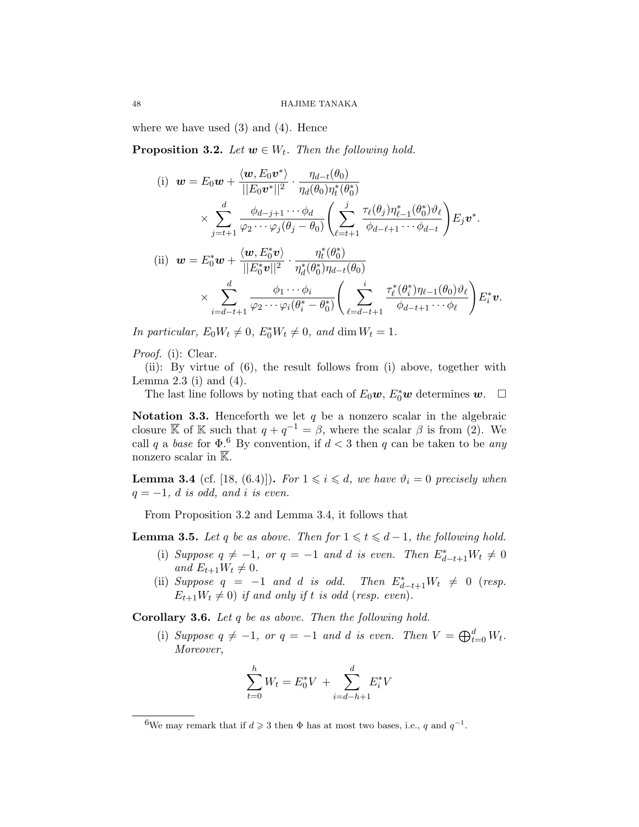where we have used  $(3)$  and  $(4)$ . Hence

**Proposition 3.2.** Let  $w \in W_t$ . Then the following hold.

(i) 
$$
\mathbf{w} = E_0 \mathbf{w} + \frac{\langle \mathbf{w}, E_0 \mathbf{v}^* \rangle}{||E_0 \mathbf{v}^*||^2} \cdot \frac{\eta_{d-t}(\theta_0)}{\eta_d(\theta_0)\eta_t^*(\theta_0^*)}
$$

$$
\times \sum_{j=t+1}^d \frac{\phi_{d-j+1} \cdots \phi_d}{\varphi_2 \cdots \varphi_j(\theta_j - \theta_0)} \left( \sum_{\ell=t+1}^j \frac{\tau_\ell(\theta_j)\eta_{\ell-1}^*(\theta_0^*)\vartheta_\ell}{\phi_{d-\ell+1} \cdots \phi_{d-t}} \right) E_j \mathbf{v}^*.
$$
(ii) 
$$
\mathbf{w} = E_0^* \mathbf{w} + \frac{\langle \mathbf{w}, E_0^* \mathbf{v} \rangle}{||E_0^* \mathbf{v}||^2} \cdot \frac{\eta_t^*(\theta_0^*)}{\eta_d^*(\theta_0^*)\eta_{d-t}(\theta_0)}
$$

$$
\times \sum_{i=d-t+1}^d \frac{\phi_1 \cdots \phi_i}{\varphi_2 \cdots \varphi_i(\theta_i^* - \theta_0^*)} \left( \sum_{\ell=d-t+1}^i \frac{\tau_\ell^*(\theta_i^*)\eta_{\ell-1}(\theta_0)\vartheta_\ell}{\phi_{d-t+1} \cdots \phi_\ell} \right) E_i^* \mathbf{v}.
$$

In particular,  $E_0 W_t \neq 0$ ,  $E_0^* W_t \neq 0$ , and dim  $W_t = 1$ .

Proof. (i): Clear.

(ii): By virtue of (6), the result follows from (i) above, together with Lemma 2.3 (i) and  $(4)$ .

The last line follows by noting that each of  $E_0$ **w**,  $E_0^*$ **w** determines **w**.  $\Box$ 

Notation 3.3. Henceforth we let  $q$  be a nonzero scalar in the algebraic closure  $\overline{\mathbb{K}}$  of  $\mathbb{K}$  such that  $q + q^{-1} = \beta$ , where the scalar  $\beta$  is from (2). We call q a base for  $\Phi$ .<sup>6</sup> By convention, if  $d < 3$  then q can be taken to be any nonzero scalar in  $\overline{\mathbb{K}}$ .

**Lemma 3.4** (cf. [18, (6.4)]). For  $1 \leq i \leq d$ , we have  $\vartheta_i = 0$  precisely when  $q = -1$ , d is odd, and i is even.

From Proposition 3.2 and Lemma 3.4, it follows that

**Lemma 3.5.** Let q be as above. Then for  $1 \leq t \leq d-1$ , the following hold.

- (i) Suppose  $q \neq -1$ , or  $q = -1$  and d is even. Then  $E_{d-t+1}^* W_t \neq 0$ and  $E_{t+1}W_t \neq 0$ .
- (ii) Suppose  $q = -1$  and d is odd. Then  $E_{d-t+1}^* W_t \neq 0$  (resp.  $E_{t+1}W_t \neq 0$ ) if and only if t is odd (resp. even).

Corollary 3.6. Let q be as above. Then the following hold.

(i) Suppose  $q \neq -1$ , or  $q = -1$  and d is even. Then  $V = \bigoplus_{t=0}^{d} W_t$ . Moreover,

$$
\sum_{t=0}^{h} W_t = E_0^* V + \sum_{i=d-h+1}^{d} E_i^* V
$$

<sup>&</sup>lt;sup>6</sup>We may remark that if  $d \geqslant 3$  then  $\Phi$  has at most two bases, i.e., q and  $q^{-1}$ .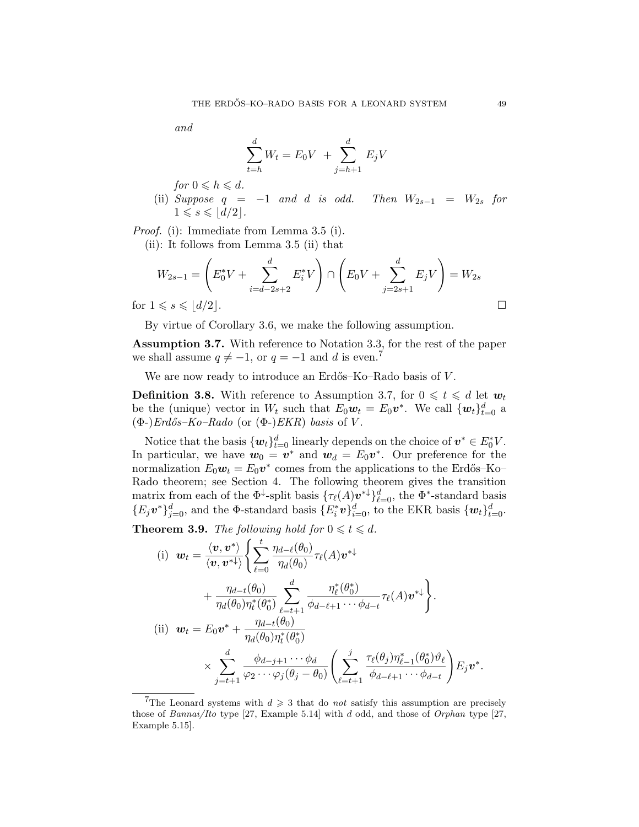$$
and
$$

$$
\sum_{t=h}^{d} W_t = E_0 V + \sum_{j=h+1}^{d} E_j V
$$

for  $0 \le h \le d$ .

(ii) Suppose  $q = -1$  and d is odd. Then  $W_{2s-1} = W_{2s}$  for  $1 \leqslant s \leqslant |d/2|$ .

Proof. (i): Immediate from Lemma 3.5 (i).

(ii): It follows from Lemma 3.5 (ii) that

$$
W_{2s-1} = \left(E_0^* V + \sum_{i=d-2s+2}^d E_i^* V\right) \cap \left(E_0 V + \sum_{j=2s+1}^d E_j V\right) = W_{2s}
$$
  
for  $1 \le s \le |d/2|$ .

By virtue of Corollary 3.6, we make the following assumption.

Assumption 3.7. With reference to Notation 3.3, for the rest of the paper we shall assume  $q \neq -1$ , or  $q = -1$  and d is even.<sup>7</sup>

We are now ready to introduce an Erdős–Ko–Rado basis of V.

**Definition 3.8.** With reference to Assumption 3.7, for  $0 \le t \le d$  let  $w_t$ be the (unique) vector in  $W_t$  such that  $E_0 \mathbf{w}_t = E_0 \mathbf{v}^*$ . We call  $\{\mathbf{w}_t\}_{t=0}^d$  a  $(\Phi$ -)Erdős–Ko–Rado (or  $(\Phi$ -)EKR) basis of V.

Notice that the basis  $\{w_t\}_{t=0}^d$  linearly depends on the choice of  $v^* \in E_0^* V$ . In particular, we have  $w_0 = v^*$  and  $w_d = E_0 v^*$ . Our preference for the normalization  $E_0 \mathbf{w}_t = E_0 \mathbf{v}^*$  comes from the applications to the Erdős–Ko– Rado theorem; see Section 4. The following theorem gives the transition matrix from each of the  $\Phi^{\downarrow}$ -split basis  $\{\tau_{\ell}(A)v^{*\downarrow}\}_{\ell=0}^d$ , the  $\Phi^*$ -standard basis  ${E_j v^*}_{j=0}^d$ , and the  $\Phi$ -standard basis  ${E_i^* v}_{i=0}^d$ , to the EKR basis  ${w_t}_{t=0}^d$ .

**Theorem 3.9.** The following hold for  $0 \le t \le d$ .

(i) 
$$
\mathbf{w}_t = \frac{\langle \mathbf{v}, \mathbf{v}^* \rangle}{\langle \mathbf{v}, \mathbf{v}^* \rangle} \Biggl\{ \sum_{\ell=0}^t \frac{\eta_{d-\ell}(\theta_0)}{\eta_d(\theta_0)} \tau_{\ell}(A) \mathbf{v}^* \Biggr\} + \frac{\eta_{d-t}(\theta_0)}{\eta_d(\theta_0) \eta_t^*(\theta_0^*)} \sum_{\ell=t+1}^d \frac{\eta_{\ell}^*(\theta_0^*)}{\phi_{d-\ell+1} \cdots \phi_{d-t}} \tau_{\ell}(A) \mathbf{v}^* \Biggr\}.
$$
\n(ii) 
$$
\mathbf{w}_t = E_0 \mathbf{v}^* + \frac{\eta_{d-t}(\theta_0)}{\eta_d(\theta_0) \eta_t^*(\theta_0^*)} \times \sum_{j=t+1}^d \frac{\phi_{d-j+1} \cdots \phi_d}{\varphi_2 \cdots \varphi_j(\theta_j - \theta_0)} \Biggl( \sum_{\ell=t+1}^j \frac{\tau_{\ell}(\theta_j) \eta_{\ell-1}^*(\theta_0^*) \vartheta_{\ell}}{\phi_{d-\ell+1} \cdots \phi_{d-t}} \Biggr) E_j \mathbf{v}^*.
$$

<sup>&</sup>lt;sup>7</sup>The Leonard systems with  $d \geq 3$  that do not satisfy this assumption are precisely those of Bannai/Ito type [27, Example 5.14] with d odd, and those of Orphan type [27, Example 5.15].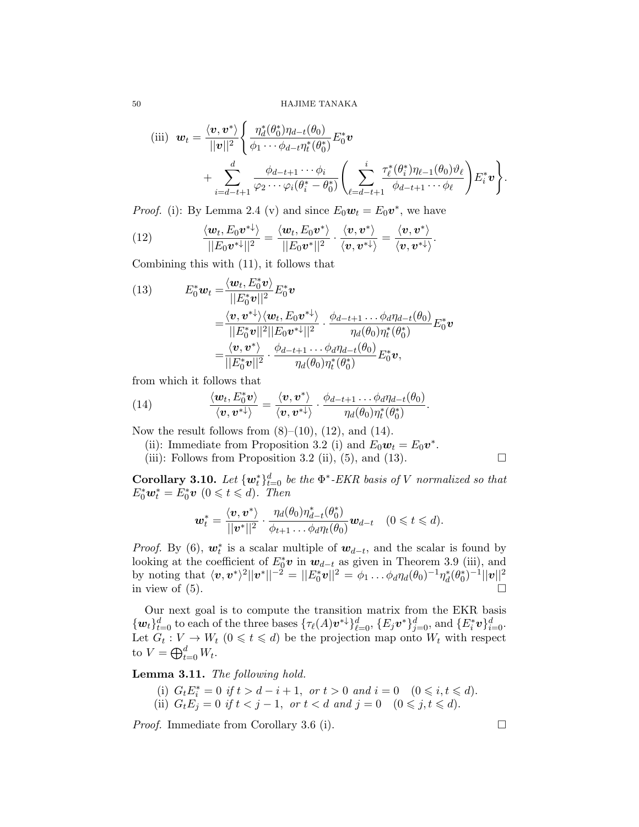50 HAJIME TANAKA

(iii) 
$$
\mathbf{w}_t = \frac{\langle \mathbf{v}, \mathbf{v}^* \rangle}{||\mathbf{v}||^2} \left\{ \frac{\eta_d^*(\theta_0^*) \eta_{d-t}(\theta_0)}{\phi_1 \cdots \phi_{d-t} \eta_t^*(\theta_0^*)} E_0^* \mathbf{v} + \sum_{i=d-t+1}^d \frac{\phi_{d-t+1} \cdots \phi_i}{\varphi_2 \cdots \varphi_i(\theta_i^* - \theta_0^*)} \left( \sum_{\ell=d-t+1}^s \frac{\tau_{\ell}^*(\theta_i^*) \eta_{\ell-1}(\theta_0) \vartheta_{\ell}}{\phi_{d-t+1} \cdots \phi_{\ell}} \right) E_i^* \mathbf{v} \right\}.
$$

.

*Proof.* (i): By Lemma 2.4 (v) and since  $E_0 \mathbf{w}_t = E_0 \mathbf{v}^*$ , we have

(12) 
$$
\frac{\langle \boldsymbol{w}_t, E_0 \boldsymbol{v}^* \rangle}{||E_0 \boldsymbol{v}^*||^2} = \frac{\langle \boldsymbol{w}_t, E_0 \boldsymbol{v}^* \rangle}{||E_0 \boldsymbol{v}^*||^2} \cdot \frac{\langle \boldsymbol{v}, \boldsymbol{v}^* \rangle}{\langle \boldsymbol{v}, \boldsymbol{v}^* \rangle} = \frac{\langle \boldsymbol{v}, \boldsymbol{v}^* \rangle}{\langle \boldsymbol{v}, \boldsymbol{v}^* \rangle}
$$

Combining this with (11), it follows that

(13) 
$$
E_0^* \mathbf{w}_t = \frac{\langle \mathbf{w}_t, E_0^* \mathbf{v} \rangle}{||E_0^* \mathbf{v}||^2} E_0^* \mathbf{v}
$$

$$
= \frac{\langle \mathbf{v}, \mathbf{v}^* \rangle \langle \mathbf{w}_t, E_0 \mathbf{v}^* \rangle}{||E_0^* \mathbf{v}||^2 ||E_0 \mathbf{v}^* \rangle + \frac{\phi_{d-t+1} \dots \phi_d \eta_{d-t}(\theta_0)}{\eta_d(\theta_0) \eta_t^* (\theta_0^*)} E_0^* \mathbf{v}
$$

$$
= \frac{\langle \mathbf{v}, \mathbf{v}^* \rangle}{||E_0^* \mathbf{v}||^2} \cdot \frac{\phi_{d-t+1} \dots \phi_d \eta_{d-t}(\theta_0)}{\eta_d(\theta_0) \eta_t^* (\theta_0^*)} E_0^* \mathbf{v},
$$

from which it follows that

(14) 
$$
\frac{\langle \boldsymbol{w}_t, E_0^* \boldsymbol{v} \rangle}{\langle \boldsymbol{v}, \boldsymbol{v}^* \rangle} = \frac{\langle \boldsymbol{v}, \boldsymbol{v}^* \rangle}{\langle \boldsymbol{v}, \boldsymbol{v}^* \rangle} \cdot \frac{\phi_{d-t+1} \dots \phi_d \eta_{d-t}(\theta_0)}{\eta_d(\theta_0) \eta_t^* (\theta_0^*)}.
$$

Now the result follows from  $(8)$ – $(10)$ ,  $(12)$ , and  $(14)$ .

(ii): Immediate from Proposition 3.2 (i) and  $E_0 \mathbf{w}_t = E_0 \mathbf{v}^*$ .

(iii): Follows from Proposition 3.2 (ii), (5), and (13).  $\Box$ 

**Corollary 3.10.** Let  $\{w_t^*\}_{t=0}^d$  be the  $\Phi^*$ -EKR basis of V normalized so that  $E_0^* \mathbf{w}_t^* = E_0^* \mathbf{v}$   $(0 \leq t \leq d)$ . Then

$$
\boldsymbol{w}_t^* = \frac{\langle \boldsymbol{v}, \boldsymbol{v}^* \rangle}{||\boldsymbol{v}^*||^2} \cdot \frac{\eta_d(\theta_0)\eta_{d-t}^*(\theta_0^*)}{\phi_{t+1} \dots \phi_d \eta_t(\theta_0)} \boldsymbol{w}_{d-t} \quad (0 \leq t \leq d).
$$

*Proof.* By (6),  $w_t^*$  is a scalar multiple of  $w_{d-t}$ , and the scalar is found by looking at the coefficient of  $E_0^* v$  in  $w_{d-t}$  as given in Theorem 3.9 (iii), and by noting that  $\langle {\bm v}, {\bm v}^* \rangle^2 ||{\bm v}^*||^{-2} = ||E_0^*{\bm v}||^2 = \phi_1 \dots \phi_d \eta_d(\theta_0)^{-1} \eta_d^*(\theta_0^*)^{-1} ||{\bm v}||^2$ in view of  $(5)$ .

Our next goal is to compute the transition matrix from the EKR basis  ${w_t}_{t=0}^d$  to each of the three bases  ${\{\tau_{\ell}(A)\mathbf{v}^*\}}_{\ell=0}^d$ ,  ${E_j\mathbf{v}^*\}}_{j=0}^d$ , and  ${E_i^*\mathbf{v}}_{i=0}^d$ . Let  $G_t: V \to W_t$   $(0 \leq t \leq d)$  be the projection map onto  $W_t$  with respect to  $V = \bigoplus_{t=0}^d W_t$ .

Lemma 3.11. The following hold.

(i)  $G_t E_i^* = 0$  if  $t > d - i + 1$ , or  $t > 0$  and  $i = 0$   $(0 \le i, t \le d)$ . (ii)  $G_t E_j = 0$  if  $t < j - 1$ , or  $t < d$  and  $j = 0$   $(0 \le j, t \le d)$ .

*Proof.* Immediate from Corollary 3.6 (i).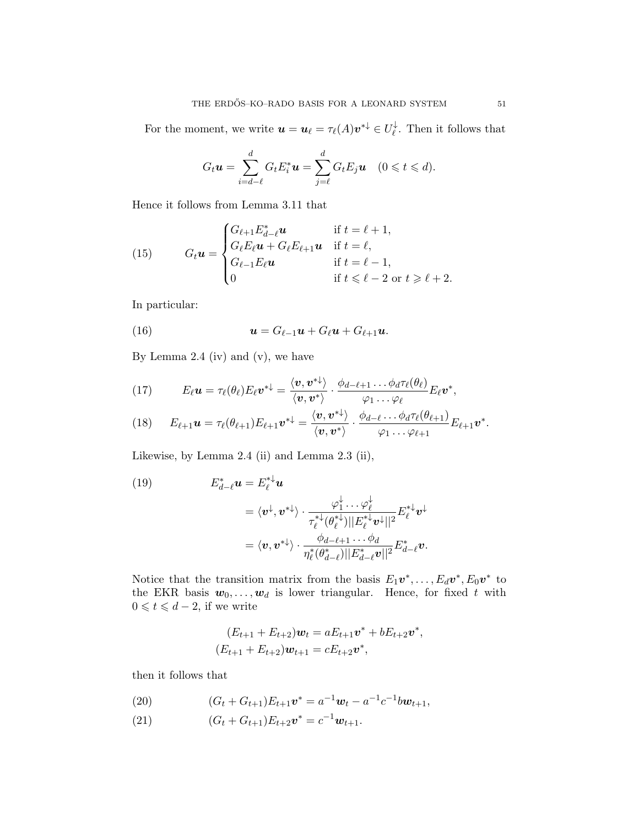For the moment, we write  $\mathbf{u} = \mathbf{u}_{\ell} = \tau_{\ell}(A) \mathbf{v}^{*\downarrow} \in U_{\ell}^{\downarrow}$  $\psi$ . Then it follows that

$$
G_t\boldsymbol{u}=\sum_{i=d-\ell}^d G_t E_i^* \boldsymbol{u}=\sum_{j=\ell}^d G_t E_j \boldsymbol{u} \quad (0\leqslant t\leqslant d).
$$

Hence it follows from Lemma 3.11 that

(15) 
$$
G_t \mathbf{u} = \begin{cases} G_{\ell+1} E_{d-\ell}^* \mathbf{u} & \text{if } t = \ell + 1, \\ G_{\ell} E_{\ell} \mathbf{u} + G_{\ell} E_{\ell+1} \mathbf{u} & \text{if } t = \ell, \\ G_{\ell-1} E_{\ell} \mathbf{u} & \text{if } t = \ell - 1, \\ 0 & \text{if } t \leq \ell - 2 \text{ or } t \geq \ell + 2. \end{cases}
$$

In particular:

(16) 
$$
\mathbf{u}=G_{\ell-1}\mathbf{u}+G_{\ell}\mathbf{u}+G_{\ell+1}\mathbf{u}.
$$

By Lemma 2.4 (iv) and  $(v)$ , we have

(17) 
$$
E_{\ell} \boldsymbol{u} = \tau_{\ell}(\theta_{\ell}) E_{\ell} \boldsymbol{v}^{* \downarrow} = \frac{\langle \boldsymbol{v}, \boldsymbol{v}^{* \downarrow} \rangle}{\langle \boldsymbol{v}, \boldsymbol{v}^{*} \rangle} \cdot \frac{\phi_{d-\ell+1} \dots \phi_{d} \tau_{\ell}(\theta_{\ell})}{\varphi_{1} \dots \varphi_{\ell}} E_{\ell} \boldsymbol{v}^{*},
$$

(18) 
$$
E_{\ell+1}u = \tau_{\ell}(\theta_{\ell+1})E_{\ell+1}v^{*\downarrow} = \frac{\langle v, v^{*\downarrow}\rangle}{\langle v, v^*\rangle}\cdot \frac{\phi_{d-\ell}\dots\phi_d\tau_{\ell}(\theta_{\ell+1})}{\varphi_1\dots\varphi_{\ell+1}}E_{\ell+1}v^*.
$$

Likewise, by Lemma 2.4 (ii) and Lemma 2.3 (ii),

(19)  
\n
$$
E_{d-\ell}^* \mathbf{u} = E_{\ell}^{*\downarrow} \mathbf{u}
$$
\n
$$
= \langle \mathbf{v}^{\downarrow}, \mathbf{v}^{*\downarrow} \rangle \cdot \frac{\varphi_1^{\downarrow} \cdots \varphi_{\ell}^{\downarrow}}{\tau_{\ell}^{*\downarrow} (\theta_{\ell}^{*\downarrow}) || E_{\ell}^{*\downarrow} \mathbf{v}^{\downarrow} ||^2} E_{\ell}^{*\downarrow} \mathbf{v}^{\downarrow}
$$
\n
$$
= \langle \mathbf{v}, \mathbf{v}^{*\downarrow} \rangle \cdot \frac{\phi_{d-\ell+1} \cdots \phi_d}{\eta_{\ell}^* (\theta_{d-\ell}^*) || E_{d-\ell}^* \mathbf{v} ||^2} E_{d-\ell}^* \mathbf{v}.
$$

Notice that the transition matrix from the basis  $E_1 \mathbf{v}^*, \ldots, E_d \mathbf{v}^*, E_0 \mathbf{v}^*$  to the EKR basis  $w_0, \ldots, w_d$  is lower triangular. Hence, for fixed t with  $0 \leq t \leq d-2$ , if we write

$$
(E_{t+1} + E_{t+2})\mathbf{w}_t = aE_{t+1}\mathbf{v}^* + bE_{t+2}\mathbf{v}^*,
$$
  

$$
(E_{t+1} + E_{t+2})\mathbf{w}_{t+1} = cE_{t+2}\mathbf{v}^*,
$$

then it follows that

(20) 
$$
(G_t + G_{t+1})E_{t+1}\mathbf{v}^* = a^{-1}\mathbf{w}_t - a^{-1}c^{-1}b\mathbf{w}_{t+1},
$$

(21)  $(G_t + G_{t+1})E_{t+2}\mathbf{v}^* = c^{-1}\mathbf{w}_{t+1}.$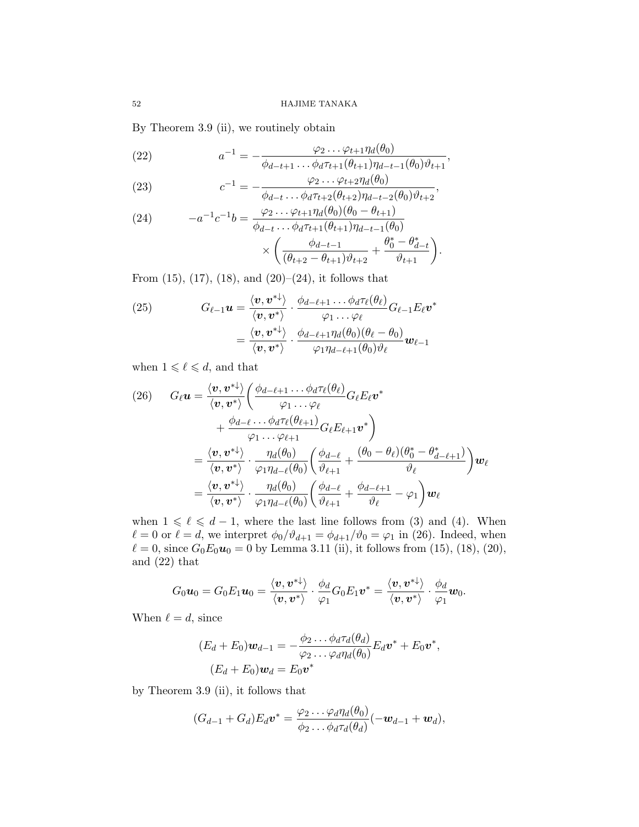.

By Theorem 3.9 (ii), we routinely obtain

(22) 
$$
a^{-1} = -\frac{\varphi_2 \dots \varphi_{t+1} \eta_d(\theta_0)}{\phi_{d-t+1} \dots \phi_d \tau_{t+1}(\theta_{t+1}) \eta_{d-t-1}(\theta_0) \vartheta_{t+1}},
$$

(23) 
$$
c^{-1} = -\frac{\varphi_2 \dots \varphi_{t+2} \eta_d(\theta_0)}{\phi_{d-t} \dots \phi_d \tau_{t+2}(\theta_{t+2}) \eta_{d-t-2}(\theta_0) \vartheta_{t+2}},
$$

(24) 
$$
-a^{-1}c^{-1}b = \frac{\varphi_2 \cdots \varphi_{t+1} \eta_d(\theta_0)(\theta_0 - \theta_{t+1})}{\phi_{d-t} \cdots \phi_d \tau_{t+1}(\theta_{t+1}) \eta_{d-t-1}(\theta_0)} \times \left( \frac{\phi_{d-t-1}}{(\theta_{t+2} - \theta_{t+1}) \vartheta_{t+2}} + \frac{\theta_0^* - \theta_{d-t}^*}{\vartheta_{t+1}} \right)
$$

From  $(15)$ ,  $(17)$ ,  $(18)$ , and  $(20)$ – $(24)$ , it follows that

(25) 
$$
G_{\ell-1}\boldsymbol{u} = \frac{\langle \boldsymbol{v}, \boldsymbol{v}^* \rangle}{\langle \boldsymbol{v}, \boldsymbol{v}^* \rangle} \cdot \frac{\phi_{d-\ell+1} \dots \phi_d \tau_{\ell}(\theta_{\ell})}{\varphi_1 \dots \varphi_{\ell}} G_{\ell-1} E_{\ell} \boldsymbol{v}^* = \frac{\langle \boldsymbol{v}, \boldsymbol{v}^* \rangle}{\langle \boldsymbol{v}, \boldsymbol{v}^* \rangle} \cdot \frac{\phi_{d-\ell+1} \eta_d(\theta_0)(\theta_{\ell} - \theta_0)}{\varphi_1 \eta_{d-\ell+1}(\theta_0) \vartheta_{\ell}} \boldsymbol{w}_{\ell-1}
$$

when  $1 \leqslant \ell \leqslant d$ , and that

(26) 
$$
G_{\ell}\mathbf{u} = \frac{\langle \mathbf{v}, \mathbf{v}^* \rangle}{\langle \mathbf{v}, \mathbf{v}^* \rangle} \left( \frac{\phi_{d-\ell+1} \dots \phi_d \tau_{\ell}(\theta_{\ell})}{\varphi_1 \dots \varphi_{\ell}} G_{\ell} E_{\ell} \mathbf{v}^* + \frac{\phi_{d-\ell} \dots \phi_d \tau_{\ell}(\theta_{\ell+1})}{\varphi_1 \dots \varphi_{\ell+1}} G_{\ell} E_{\ell+1} \mathbf{v}^* \right) = \frac{\langle \mathbf{v}, \mathbf{v}^* \rangle}{\langle \mathbf{v}, \mathbf{v}^* \rangle} \cdot \frac{\eta_d(\theta_0)}{\varphi_1 \eta_{d-\ell}(\theta_0)} \left( \frac{\phi_{d-\ell}}{\vartheta_{\ell+1}} + \frac{(\theta_0 - \theta_{\ell})(\theta_0^* - \theta_{d-\ell+1}^*)}{\vartheta_{\ell}} \right) \mathbf{w}_{\ell} = \frac{\langle \mathbf{v}, \mathbf{v}^* \rangle}{\langle \mathbf{v}, \mathbf{v}^* \rangle} \cdot \frac{\eta_d(\theta_0)}{\varphi_1 \eta_{d-\ell}(\theta_0)} \left( \frac{\phi_{d-\ell}}{\vartheta_{\ell+1}} + \frac{\phi_{d-\ell+1}}{\vartheta_{\ell}} - \varphi_1 \right) \mathbf{w}_{\ell}
$$

when  $1 \leq \ell \leq d - 1$ , where the last line follows from (3) and (4). When  $\ell = 0$  or  $\ell = d$ , we interpret  $\phi_0/\vartheta_{d+1} = \phi_{d+1}/\vartheta_0 = \varphi_1$  in (26). Indeed, when  $\ell = 0$ , since  $G_0E_0u_0 = 0$  by Lemma 3.11 (ii), it follows from (15), (18), (20), and (22) that

$$
G_0 u_0 = G_0 E_1 u_0 = \frac{\langle \boldsymbol v, \boldsymbol v^{* \downarrow} \rangle}{\langle \boldsymbol v, \boldsymbol v^{*} \rangle} \cdot \frac{\phi_d}{\varphi_1} G_0 E_1 \boldsymbol v^{*} = \frac{\langle \boldsymbol v, \boldsymbol v^{* \downarrow} \rangle}{\langle \boldsymbol v, \boldsymbol v^{*} \rangle} \cdot \frac{\phi_d}{\varphi_1} \boldsymbol w_0.
$$

When  $\ell = d$ , since

$$
(E_d+E_0)\boldsymbol{w}_{d-1}=-\frac{\phi_2\ldots\phi_d\tau_d(\theta_d)}{\varphi_2\ldots\varphi_d\eta_d(\theta_0)}E_d\boldsymbol{v}^*+E_0\boldsymbol{v}^*,
$$
  

$$
(E_d+E_0)\boldsymbol{w}_d=E_0\boldsymbol{v}^*
$$

by Theorem 3.9 (ii), it follows that

$$
(G_{d-1}+G_d)E_d\boldsymbol{v}^*=\frac{\varphi_2\ldots\varphi_d\eta_d(\theta_0)}{\phi_2\ldots\phi_d\tau_d(\theta_d)}(-\boldsymbol{w}_{d-1}+\boldsymbol{w}_d),
$$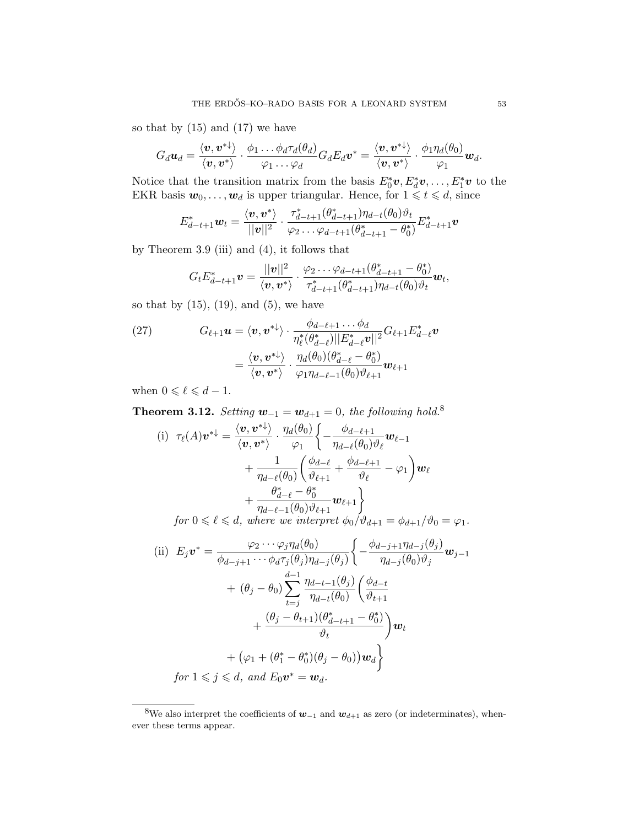so that by  $(15)$  and  $(17)$  we have

$$
G_d\boldsymbol{u}_d=\frac{\langle \boldsymbol{v},\boldsymbol{v}^{*\downarrow}\rangle}{\langle \boldsymbol{v},\boldsymbol{v}^*\rangle}\cdot\frac{\phi_1\ldots\phi_d\tau_d(\theta_d)}{\varphi_1\ldots\varphi_d}G_dE_d\boldsymbol{v}^*=\frac{\langle \boldsymbol{v},\boldsymbol{v}^{*\downarrow}\rangle}{\langle \boldsymbol{v},\boldsymbol{v}^*\rangle}\cdot\frac{\phi_1\eta_d(\theta_0)}{\varphi_1}\boldsymbol{w}_d.
$$

Notice that the transition matrix from the basis  $E_0^* v, E_d^* v, \ldots, E_1^* v$  to the EKR basis  $w_0, \ldots, w_d$  is upper triangular. Hence, for  $1 \leq t \leq d$ , since

$$
E_{d-t+1}^* \mathbf{w}_t = \frac{\langle \mathbf{v}, \mathbf{v}^* \rangle}{||\mathbf{v}||^2} \cdot \frac{\tau_{d-t+1}^* (\theta_{d-t+1}^*) \eta_{d-t}(\theta_0) \vartheta_t}{\varphi_2 \dots \varphi_{d-t+1}(\theta_{d-t+1}^* - \theta_0^*)} E_{d-t+1}^* \mathbf{v}
$$

by Theorem 3.9 (iii) and (4), it follows that

$$
G_t E_{d-t+1}^* \mathbf{v} = \frac{||\mathbf{v}||^2}{\langle \mathbf{v}, \mathbf{v}^* \rangle} \cdot \frac{\varphi_2 \dots \varphi_{d-t+1}(\theta_{d-t+1}^* - \theta_0^*)}{\tau_{d-t+1}^* (\theta_{d-t+1}^*) \eta_{d-t}(\theta_0) \vartheta_t} \mathbf{w}_t,
$$

so that by  $(15)$ ,  $(19)$ , and  $(5)$ , we have

(27) 
$$
G_{\ell+1}\mathbf{u} = \langle \mathbf{v}, \mathbf{v}^{* \downarrow} \rangle \cdot \frac{\phi_{d-\ell+1} \dots \phi_d}{\eta_{\ell}^* (\theta_{d-\ell}^*) ||E_{d-\ell}^* \mathbf{v}||^2} G_{\ell+1} E_{d-\ell}^* \mathbf{v}
$$

$$
= \frac{\langle \mathbf{v}, \mathbf{v}^{* \downarrow} \rangle}{\langle \mathbf{v}, \mathbf{v}^* \rangle} \cdot \frac{\eta_d(\theta_0)(\theta_{d-\ell}^* - \theta_0^*)}{\varphi_1 \eta_{d-\ell-1}(\theta_0) \vartheta_{\ell+1}} \mathbf{w}_{\ell+1}
$$

when  $0 \leqslant \ell \leqslant d - 1.$ 

**Theorem 3.12.** Setting  $\mathbf{w}_{-1} = \mathbf{w}_{d+1} = 0$ , the following hold.<sup>8</sup>

(i) 
$$
\tau_{\ell}(A)\mathbf{v}^{*+} = \frac{\langle \mathbf{v}, \mathbf{v}^{*+} \rangle}{\langle \mathbf{v}, \mathbf{v}^{*} \rangle} \cdot \frac{\eta_{d}(\theta_{0})}{\varphi_{1}} \left\{ -\frac{\phi_{d-\ell+1}}{\eta_{d-\ell}(\theta_{0}) \vartheta_{\ell}} \mathbf{w}_{\ell-1} + \frac{1}{\eta_{d-\ell}(\theta_{0})} \left( \frac{\phi_{d-\ell}}{\vartheta_{\ell+1}} + \frac{\phi_{d-\ell+1}}{\vartheta_{\ell}} - \varphi_{1} \right) \mathbf{w}_{\ell} + \frac{\theta_{d-\ell}^{*} - \theta_{0}^{*}}{\eta_{d-\ell-1}(\theta_{0}) \vartheta_{\ell+1}} \mathbf{w}_{\ell+1} \right\}
$$
  
for  $0 \le \ell \le d$ , where we interpret  $\phi_{0}/\vartheta_{d+1} = \phi_{d+1}/\vartheta_{0} = \varphi_{1}$ .

(ii) 
$$
E_j \mathbf{v}^* = \frac{\varphi_2 \cdots \varphi_j \eta_d(\theta_0)}{\phi_{d-j+1} \cdots \phi_d \tau_j(\theta_j) \eta_{d-j}(\theta_j)} \left\{ -\frac{\phi_{d-j+1} \eta_{d-j}(\theta_j)}{\eta_{d-j}(\theta_0) \vartheta_j} \mathbf{w}_{j-1} + (\theta_j - \theta_0) \sum_{t=j}^{d-1} \frac{\eta_{d-t-1}(\theta_j)}{\eta_{d-t}(\theta_0)} \left( \frac{\phi_{d-t}}{\vartheta_{t+1}} + \frac{(\theta_j - \theta_{t+1})(\theta_{d-t+1}^* - \theta_0^*)}{\vartheta_t} \right) \mathbf{w}_t + (\varphi_1 + (\theta_1^* - \theta_0^*)(\theta_j - \theta_0)) \mathbf{w}_d \right\}
$$
  
for  $1 \leq j \leq d$ , and  $E_0 \mathbf{v}^* = \mathbf{w}_d$ .

<sup>&</sup>lt;sup>8</sup>We also interpret the coefficients of  $w_{-1}$  and  $w_{d+1}$  as zero (or indeterminates), whenever these terms appear.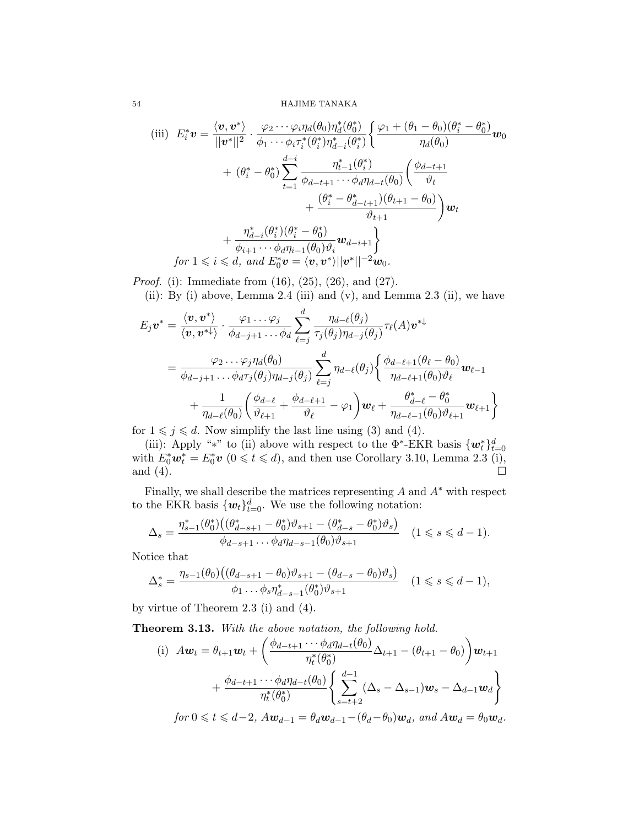54 HAJIME TANAKA

(iii) 
$$
E_i^* \mathbf{v} = \frac{\langle \mathbf{v}, \mathbf{v}^* \rangle}{||\mathbf{v}^*||^2} \cdot \frac{\varphi_2 \cdots \varphi_i \eta_d(\theta_0) \eta_d^*(\theta_0^*)}{\phi_1 \cdots \phi_i \tau_i^*(\theta_i^*) \eta_{d-i}^*(\theta_i^*)} \left\{ \frac{\varphi_1 + (\theta_1 - \theta_0)(\theta_i^* - \theta_0^*)}{\eta_d(\theta_0)} \mathbf{w}_0 \right\} + (\theta_i^* - \theta_0^*) \sum_{t=1}^{d-i} \frac{\eta_{t-1}^*(\theta_i^*)}{\phi_{d-t+1} \cdots \phi_d \eta_{d-t}(\theta_0)} \left( \frac{\phi_{d-t+1}}{\phi_t} + \frac{(\theta_i^* - \theta_{d-t+1}^*)(\theta_{t+1} - \theta_0)}{\phi_{t+1}} \right) \mathbf{w}_t + \frac{\eta_{d-i}^*(\theta_i^*)(\theta_i^* - \theta_0^*)}{\phi_{i+1} \cdots \phi_d \eta_{i-1}(\theta_0) \vartheta_i} \mathbf{w}_{d-i+1} + \int_{\phi_i^* + \phi_i^* \mathbf{w}_i} \text{for } 1 \leq i \leq d, \text{ and } E_0^* \mathbf{v} = \langle \mathbf{v}, \mathbf{v}^* \rangle ||\mathbf{v}^*||^{-2} \mathbf{w}_0.
$$

Proof. (i): Immediate from (16), (25), (26), and (27).

(ii): By (i) above, Lemma 2.4 (iii) and (v), and Lemma 2.3 (ii), we have

$$
E_j \mathbf{v}^* = \frac{\langle \mathbf{v}, \mathbf{v}^* \rangle}{\langle \mathbf{v}, \mathbf{v}^* \rangle} \cdot \frac{\varphi_1 \dots \varphi_j}{\phi_{d-j+1} \dots \phi_d} \sum_{\ell=j}^d \frac{\eta_{d-\ell}(\theta_j)}{\tau_j(\theta_j) \eta_{d-j}(\theta_j)} \tau_\ell(A) \mathbf{v}^* \mathbf{v}
$$
  
= 
$$
\frac{\varphi_2 \dots \varphi_j \eta_d(\theta_0)}{\phi_{d-j+1} \dots \phi_d \tau_j(\theta_j) \eta_{d-j}(\theta_j)} \sum_{\ell=j}^d \eta_{d-\ell}(\theta_j) \left\{ \frac{\phi_{d-\ell+1}(\theta_\ell - \theta_0)}{\eta_{d-\ell+1}(\theta_0) \theta_\ell} \mathbf{w}_{\ell-1} + \frac{1}{\eta_{d-\ell}(\theta_0)} \left( \frac{\phi_{d-\ell}}{\theta_{\ell+1}} + \frac{\phi_{d-\ell+1}}{\theta_\ell} - \varphi_1 \right) \mathbf{w}_\ell + \frac{\theta_{d-\ell}^* - \theta_0^*}{\eta_{d-\ell-1}(\theta_0) \theta_{\ell+1}} \mathbf{w}_{\ell+1} \right\}
$$

for  $1 \leq j \leq d$ . Now simplify the last line using (3) and (4).

(iii): Apply "\*" to (ii) above with respect to the  $\Phi^*$ -EKR basis  $\{w_t^*\}_{t=0}^d$ with  $E_0^* \mathbf{w}_t^* = E_0^* \mathbf{v}$   $(0 \leq t \leq d)$ , and then use Corollary 3.10, Lemma 2.3 (i), and  $(4)$ .

Finally, we shall describe the matrices representing  $A$  and  $A^*$  with respect to the EKR basis  $\{w_t\}_{t=0}^d$ . We use the following notation:

$$
\Delta_s = \frac{\eta_{s-1}^*(\theta_0^*)( (\theta_{d-s+1}^* - \theta_0^*) \vartheta_{s+1} - (\theta_{d-s}^* - \theta_0^*) \vartheta_s)}{\varphi_{d-s+1} \dots \varphi_d \eta_{d-s-1}(\theta_0) \vartheta_{s+1}} \quad (1 \leq s \leq d-1).
$$

Notice that

$$
\Delta_s^* = \frac{\eta_{s-1}(\theta_0) \left( (\theta_{d-s+1} - \theta_0) \vartheta_{s+1} - (\theta_{d-s} - \theta_0) \vartheta_s \right)}{\phi_1 \dots \phi_s \eta_{d-s-1}^*(\theta_0^*) \vartheta_{s+1}} \quad (1 \le s \le d-1),
$$

by virtue of Theorem 2.3 (i) and (4).

Theorem 3.13. With the above notation, the following hold.

(i) 
$$
A\mathbf{w}_t = \theta_{t+1}\mathbf{w}_t + \left(\frac{\phi_{d-t+1}\cdots\phi_d\eta_{d-t}(\theta_0)}{\eta_t^*(\theta_0^*)}\Delta_{t+1} - (\theta_{t+1} - \theta_0)\right)\mathbf{w}_{t+1} + \frac{\phi_{d-t+1}\cdots\phi_d\eta_{d-t}(\theta_0)}{\eta_t^*(\theta_0^*)}\left\{\sum_{s=t+2}^{d-1}(\Delta_s - \Delta_{s-1})\mathbf{w}_s - \Delta_{d-1}\mathbf{w}_d\right\}
$$

 $for 0 \leq t \leq d-2$ ,  $Aw_{d-1} = \theta_d \mathbf{w}_{d-1} - (\theta_d - \theta_0) \mathbf{w}_d$ , and  $Aw_d = \theta_0 \mathbf{w}_d$ .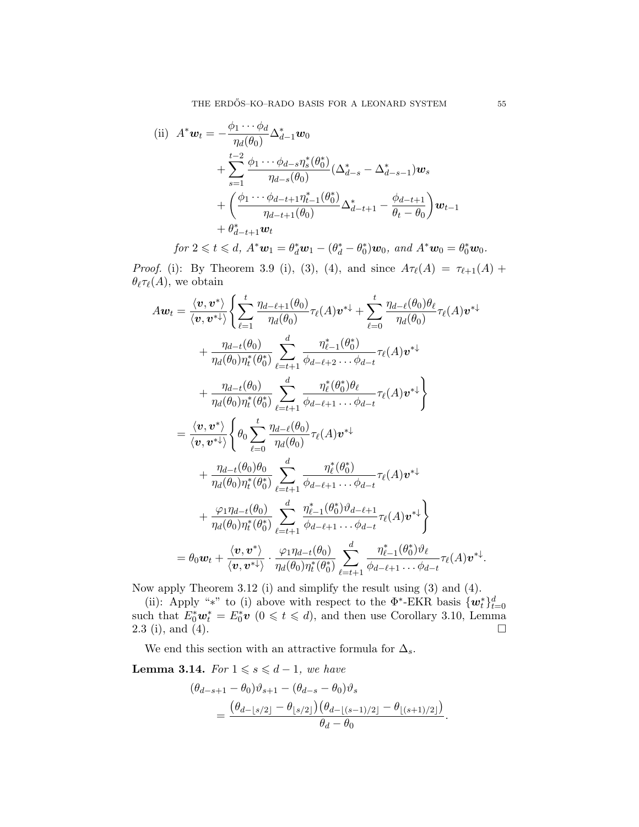(ii) 
$$
A^* \mathbf{w}_t = -\frac{\phi_1 \cdots \phi_d}{\eta_d(\theta_0)} \Delta_{d-1}^* \mathbf{w}_0 + \sum_{s=1}^{t-2} \frac{\phi_1 \cdots \phi_{d-s} \eta_s^*(\theta_0^*)}{\eta_{d-s}(\theta_0)} (\Delta_{d-s}^* - \Delta_{d-s-1}^*) \mathbf{w}_s + \left(\frac{\phi_1 \cdots \phi_{d-t+1} \eta_{t-1}^*(\theta_0^*)}{\eta_{d-t+1}(\theta_0)} \Delta_{d-t+1}^* - \frac{\phi_{d-t+1}}{\theta_t - \theta_0} \right) \mathbf{w}_{t-1} + \theta_{d-t+1}^* \mathbf{w}_t
$$

 $for \ 2 \leq t \leq d, \ A^*w_1 = \theta_d^*w_1 - (\theta_d^* - \theta_0^*)w_0, \ and \ A^*w_0 = \theta_0^*w_0.$ 

Proof. (i): By Theorem 3.9 (i), (3), (4), and since  $A_{\tau_{\ell}}(A) = \tau_{\ell+1}(A) +$  $\theta_{\ell}\tau_{\ell}(A)$ , we obtain

$$
A\boldsymbol{w}_{t} = \frac{\langle \boldsymbol{v}, \boldsymbol{v}^{*} \rangle}{\langle \boldsymbol{v}, \boldsymbol{v}^{*} \rangle} \left\{ \sum_{\ell=1}^{t} \frac{\eta_{d-\ell+1}(\theta_{0})}{\eta_{d}(\theta_{0})} \tau_{\ell}(A) \boldsymbol{v}^{*} + \sum_{\ell=0}^{t} \frac{\eta_{d-\ell}(\theta_{0}) \theta_{\ell}}{\eta_{d}(\theta_{0})} \tau_{\ell}(A) \boldsymbol{v}^{*} + \frac{\eta_{d-t}(\theta_{0})}{\eta_{d}(\theta_{0}) \eta_{t}^{*}(\theta_{0}^{*})} \sum_{\ell=t+1}^{d} \frac{\eta_{\ell-1}^{*}(\theta_{0}^{*})}{\phi_{d-\ell+2} \cdots \phi_{d-t}} \tau_{\ell}(A) \boldsymbol{v}^{*} + \frac{\eta_{d-t}(\theta_{0})}{\eta_{d}(\theta_{0}) \eta_{t}^{*}(\theta_{0}^{*})} \sum_{\ell=t+1}^{d} \frac{\eta_{\ell}^{*}(\theta_{0}^{*}) \theta_{\ell}}{\phi_{d-\ell+1} \cdots \phi_{d-t}} \tau_{\ell}(A) \boldsymbol{v}^{*} \right\}
$$

$$
= \frac{\langle \boldsymbol{v}, \boldsymbol{v}^{*} \rangle}{\langle \boldsymbol{v}, \boldsymbol{v}^{*} \rangle} \left\{ \theta_{0} \sum_{\ell=0}^{t} \frac{\eta_{d-\ell}(\theta_{0})}{\eta_{d}(\theta_{0})} \tau_{\ell}(A) \boldsymbol{v}^{*} + \frac{\eta_{d-t}(\theta_{0}) \theta_{0}}{\eta_{d}(\theta_{0}) \eta_{t}^{*}(\theta_{0}^{*})} \sum_{\ell=t+1}^{d} \frac{\eta_{\ell}^{*}(\theta_{0}^{*})}{\phi_{d-\ell+1} \cdots \phi_{d-t}} \tau_{\ell}(A) \boldsymbol{v}^{*} \right\}
$$

$$
+ \frac{\varphi_{1} \eta_{d-t}(\theta_{0})}{\eta_{d}(\theta_{0}) \eta_{t}^{*}(\theta_{0}^{*})} \sum_{\ell=t+1}^{d} \frac{\eta_{\ell-1}^{*}(\theta_{0}^{*}) \vartheta_{d-\ell+1}}{\phi_{d-\ell+1} \cdots \phi_{d-t}} \tau_{\ell}(A) \boldsymbol{
$$

Now apply Theorem 3.12 (i) and simplify the result using (3) and (4).

(ii): Apply "\*" to (i) above with respect to the  $\Phi^*$ -EKR basis  $\{w_t^*\}_{t=0}^d$ such that  $E_0^* \mathbf{w}_t^* = E_0^* \mathbf{v}$   $(0 \leq t \leq d)$ , and then use Corollary 3.10, Lemma 2.3 (i), and (4).

We end this section with an attractive formula for  $\Delta_s$ .

Lemma 3.14. For  $1 \le s \le d-1$ , we have

$$
(\theta_{d-s+1} - \theta_0)\vartheta_{s+1} - (\theta_{d-s} - \theta_0)\vartheta_s
$$
  
= 
$$
\frac{(\theta_{d-\lfloor s/2 \rfloor} - \theta_{\lfloor s/2 \rfloor})(\theta_{d-\lfloor (s-1)/2 \rfloor} - \theta_{\lfloor (s+1)/2 \rfloor})}{\theta_d - \theta_0}.
$$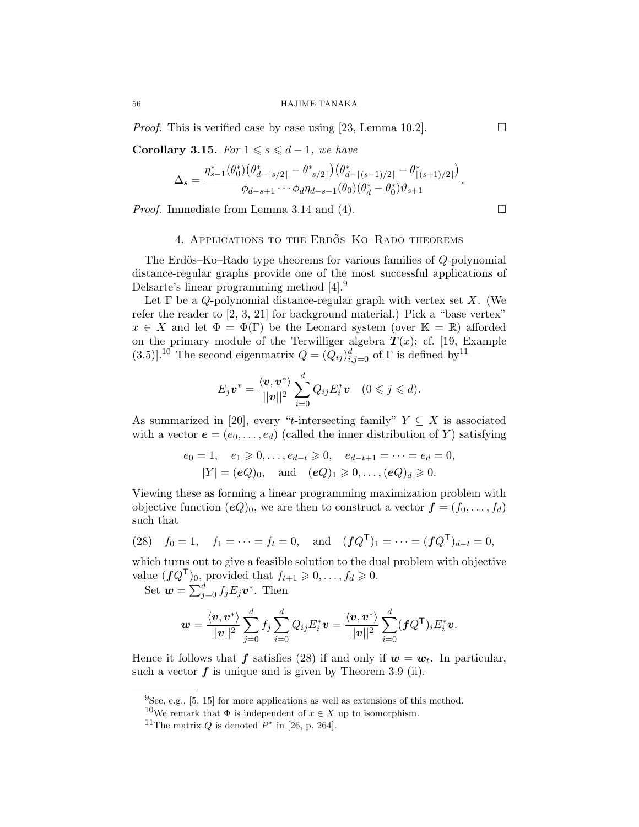*Proof.* This is verified case by case using [23, Lemma 10.2].  $\Box$ 

Corollary 3.15. For  $1 \le s \le d-1$ , we have

$$
\Delta_s = \frac{\eta_{s-1}^*(\theta_0^*)(\theta_{d-\lfloor s/2 \rfloor}^* - \theta_{\lfloor s/2 \rfloor}^*) (\theta_{d-\lfloor (s-1)/2 \rfloor}^* - \theta_{\lfloor (s+1)/2 \rfloor}^*)}{\phi_{d-s+1} \cdots \phi_d \eta_{d-s-1}(\theta_0) (\theta_d^* - \theta_0^*) \vartheta_{s+1}}.
$$

*Proof.* Immediate from Lemma 3.14 and (4).  $\Box$ 

### 4. APPLICATIONS TO THE ERDŐS–KO–RADO THEOREMS

The Erd˝os–Ko–Rado type theorems for various families of Q-polynomial distance-regular graphs provide one of the most successful applications of Delsarte's linear programming method [4].<sup>9</sup>

Let  $\Gamma$  be a Q-polynomial distance-regular graph with vertex set X. (We refer the reader to [2, 3, 21] for background material.) Pick a "base vertex"  $x \in X$  and let  $\Phi = \Phi(\Gamma)$  be the Leonard system (over  $\mathbb{K} = \mathbb{R}$ ) afforded on the primary module of the Terwilliger algebra  $T(x)$ ; cf. [19, Example (3.5)].<sup>10</sup> The second eigenmatrix  $Q = (Q_{ij})_{i,j=0}^d$  of  $\Gamma$  is defined by<sup>11</sup>

$$
E_j \boldsymbol{v}^* = \frac{\langle \boldsymbol{v}, \boldsymbol{v}^* \rangle}{||\boldsymbol{v}||^2} \sum_{i=0}^d Q_{ij} E_i^* \boldsymbol{v} \quad (0 \leqslant j \leqslant d).
$$

As summarized in [20], every "t-intersecting family"  $Y \subseteq X$  is associated with a vector  $e = (e_0, \ldots, e_d)$  (called the inner distribution of Y) satisfying

$$
e_0 = 1
$$
,  $e_1 \ge 0$ ,...,  $e_{d-t} \ge 0$ ,  $e_{d-t+1} = \cdots = e_d = 0$ ,  
\n $|Y| = (eQ)_0$ , and  $(eQ)_1 \ge 0$ ,...,  $(eQ)_d \ge 0$ .

Viewing these as forming a linear programming maximization problem with objective function  $(eQ)_0$ , we are then to construct a vector  $\boldsymbol{f} = (f_0, \ldots, f_d)$ such that

(28) 
$$
f_0 = 1
$$
,  $f_1 = \cdots = f_t = 0$ , and  $(fQ^T)_1 = \cdots = (fQ^T)_{d-t} = 0$ ,

which turns out to give a feasible solution to the dual problem with objective value  $(fQ^{\mathsf{T}})_0$ , provided that  $f_{t+1} \geq 0, \ldots, f_d \geq 0$ .

Set  $\mathbf{w} = \sum_{j=0}^{d} f_j E_j \mathbf{v}^*$ . Then

$$
\boldsymbol{w} = \frac{\langle \boldsymbol{v}, \boldsymbol{v}^*\rangle}{||\boldsymbol{v}||^2} \sum_{j=0}^d f_j \sum_{i=0}^d Q_{ij} E_i^* \boldsymbol{v} = \frac{\langle \boldsymbol{v}, \boldsymbol{v}^*\rangle}{||\boldsymbol{v}||^2} \sum_{i=0}^d (\boldsymbol{f} Q^{\mathsf{T}})_i E_i^* \boldsymbol{v}.
$$

Hence it follows that  $f$  satisfies (28) if and only if  $w = w_t$ . In particular, such a vector  $f$  is unique and is given by Theorem 3.9 (ii).

 $^{9}$ See, e.g., [5, 15] for more applications as well as extensions of this method.

<sup>&</sup>lt;sup>10</sup>We remark that  $\Phi$  is independent of  $x \in X$  up to isomorphism.

<sup>&</sup>lt;sup>11</sup>The matrix  $Q$  is denoted  $P^*$  in [26, p. 264].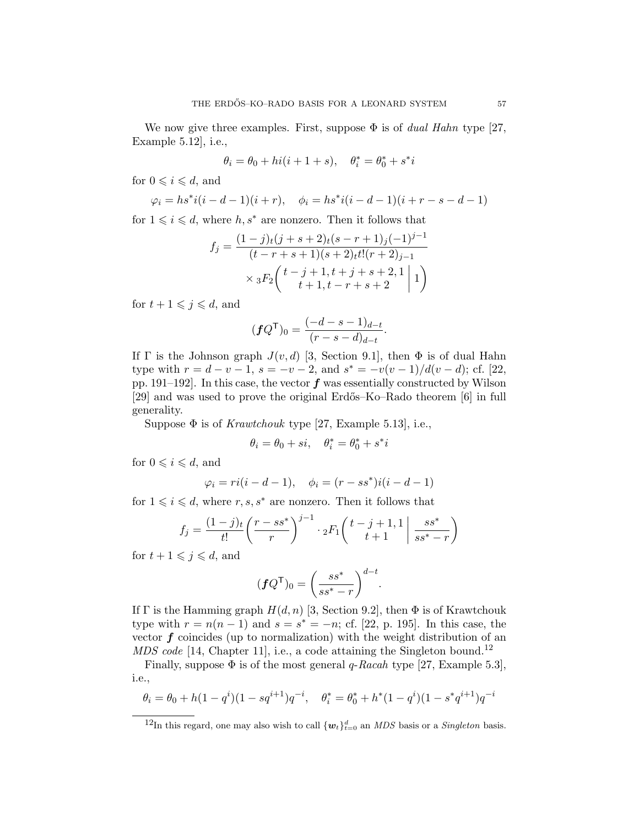We now give three examples. First, suppose  $\Phi$  is of *dual Hahn* type [27, Example 5.12], i.e.,

$$
\theta_i=\theta_0+hi(i+1+s),\quad \theta_i^*=\theta_0^*+s^*i
$$

for  $0 \leq i \leq d$ , and

$$
\varphi_i = hs^*i(i-d-1)(i+r), \quad \phi_i = hs^*i(i-d-1)(i+r-s-d-1)
$$

for  $1 \leq i \leq d$ , where  $h, s^*$  are nonzero. Then it follows that

$$
f_j = \frac{(1-j)_t(j+s+2)_t(s-r+1)_j(-1)^{j-1}}{(t-r+s+1)(s+2)_t t!(r+2)_{j-1}}
$$
  
 
$$
\times {}_3F_2 \left( \begin{array}{c} t-j+1, t+j+s+2, 1 \ t+1, t-r+s+2 \end{array} \middle| 1 \right)
$$

for  $t + 1 \leqslant j \leqslant d$ , and

$$
(\mathbf{f} Q^{\mathsf{T}})_0 = \frac{(-d - s - 1)_{d-t}}{(r - s - d)_{d-t}}.
$$

If Γ is the Johnson graph  $J(v, d)$  [3, Section 9.1], then  $\Phi$  is of dual Hahn type with  $r = d - v - 1$ ,  $s = -v - 2$ , and  $s^* = -v(v - 1)/d(v - d)$ ; cf. [22, pp. 191–192. In this case, the vector  $f$  was essentially constructed by Wilson [29] and was used to prove the original Erdős–Ko–Rado theorem [6] in full generality.

Suppose  $\Phi$  is of *Krawtchouk* type [27, Example 5.13], i.e.,

$$
\theta_i = \theta_0 + si, \quad \theta_i^* = \theta_0^* + s^*i
$$

for  $0 \leq i \leq d$ , and

$$
\varphi_i = ri(i - d - 1), \quad \phi_i = (r - ss^*)i(i - d - 1)
$$

for  $1 \leq i \leq d$ , where  $r, s, s^*$  are nonzero. Then it follows that

$$
f_j = \frac{(1-j)_t}{t!} \left(\frac{r - ss^*}{r}\right)^{j-1} \cdot {}_2F_1\left(\frac{t - j + 1}{t + 1}\middle| \frac{ss^*}{ss^* - r}\right)
$$

for  $t + 1 \leqslant j \leqslant d$ , and

$$
(\boldsymbol{f} Q^{\mathsf{T}})_0 = \left(\frac{ss^*}{ss^*-r}\right)^{d-t}.
$$

If Γ is the Hamming graph  $H(d, n)$  [3, Section 9.2], then  $\Phi$  is of Krawtchouk type with  $r = n(n-1)$  and  $s = s^* = -n$ ; cf. [22, p. 195]. In this case, the vector  $f$  coincides (up to normalization) with the weight distribution of an  $MDS code$  [14, Chapter 11], i.e., a code attaining the Singleton bound.<sup>12</sup>

Finally, suppose  $\Phi$  is of the most general q-Racah type [27, Example 5.3], i.e.,

$$
\theta_i = \theta_0 + h(1 - q^i)(1 - sq^{i+1})q^{-i}, \quad \theta_i^* = \theta_0^* + h^*(1 - q^i)(1 - s^*q^{i+1})q^{-i}
$$

<sup>&</sup>lt;sup>12</sup>In this regard, one may also wish to call  ${w_t}_{t=0}^d$  an *MDS* basis or a *Singleton* basis.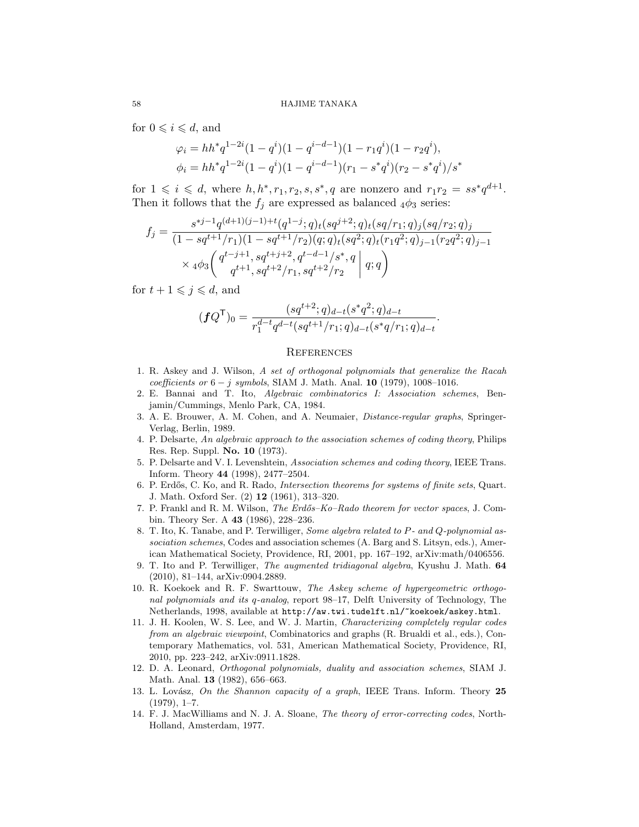for  $0 \leq i \leq d$ , and

$$
\varphi_i = hh^*q^{1-2i}(1-q^i)(1-q^{i-d-1})(1-r_1q^i)(1-r_2q^i),
$$
  

$$
\phi_i = hh^*q^{1-2i}(1-q^i)(1-q^{i-d-1})(r_1-s^*q^i)(r_2-s^*q^i)/s^*
$$

for  $1 \leqslant i \leqslant d$ , where  $h, h^*, r_1, r_2, s, s^*, q$  are nonzero and  $r_1r_2 = ss^*q^{d+1}$ . Then it follows that the  $f_j$  are expressed as balanced  $_4\phi_3$  series:

$$
f_j = \frac{s^{*j-1}q^{(d+1)(j-1)+t}(q^{1-j};q)_t(sq^{j+2};q)_t(sq/r_1;q)_j(sq/r_2;q)_j}{(1-sq^{t+1}/r_1)(1-sq^{t+1}/r_2)(q;q)_t(sq^2;q)_t(r_1q^2;q)_{j-1}(r_2q^2;q)_{j-1}} \times 4\phi_3\left(\frac{q^{t-j+1},sq^{t+j+2},q^{t-d-1}/s^*,q}{q^{t+1},sq^{t+2}/r_1,sq^{t+2}/r_2}\middle| q;q\right)
$$

for  $t + 1 \leqslant j \leqslant d$ , and

$$
(\boldsymbol{f} Q^{\mathsf{T}})_0 = \frac{(sq^{t+2};q)_{d-t}(s^*q^2;q)_{d-t}}{r_1^{d-t}q^{d-t}(sq^{t+1}/r_1;q)_{d-t}(s^*q/r_1;q)_{d-t}}.
$$

#### **REFERENCES**

- 1. R. Askey and J. Wilson, A set of orthogonal polynomials that generalize the Racah  $coefficients \text{ or } 6 - j \text{ symbols}, \text{SIAM J. Math. Anal. } 10 \text{ (1979), } 1008-1016.$
- 2. E. Bannai and T. Ito, Algebraic combinatorics I: Association schemes, Benjamin/Cummings, Menlo Park, CA, 1984.
- 3. A. E. Brouwer, A. M. Cohen, and A. Neumaier, Distance-regular graphs, Springer-Verlag, Berlin, 1989.
- 4. P. Delsarte, An algebraic approach to the association schemes of coding theory, Philips Res. Rep. Suppl. No. 10 (1973).
- 5. P. Delsarte and V. I. Levenshtein, Association schemes and coding theory, IEEE Trans. Inform. Theory 44 (1998), 2477–2504.
- 6. P. Erd˝os, C. Ko, and R. Rado, Intersection theorems for systems of finite sets, Quart. J. Math. Oxford Ser. (2) 12 (1961), 313–320.
- 7. P. Frankl and R. M. Wilson, *The Erdős–Ko–Rado theorem for vector spaces*, J. Combin. Theory Ser. A 43 (1986), 228–236.
- 8. T. Ito, K. Tanabe, and P. Terwilliger, Some algebra related to P- and Q-polynomial association schemes, Codes and association schemes (A. Barg and S. Litsyn, eds.), American Mathematical Society, Providence, RI, 2001, pp. 167–192, arXiv:math/0406556.
- 9. T. Ito and P. Terwilliger, The augmented tridiagonal algebra, Kyushu J. Math. 64 (2010), 81–144, arXiv:0904.2889.
- 10. R. Koekoek and R. F. Swarttouw, The Askey scheme of hypergeometric orthogonal polynomials and its q-analog, report 98–17, Delft University of Technology, The Netherlands, 1998, available at http://aw.twi.tudelft.nl/~koekoek/askey.html.
- 11. J. H. Koolen, W. S. Lee, and W. J. Martin, Characterizing completely regular codes from an algebraic viewpoint, Combinatorics and graphs (R. Brualdi et al., eds.), Contemporary Mathematics, vol. 531, American Mathematical Society, Providence, RI, 2010, pp. 223–242, arXiv:0911.1828.
- 12. D. A. Leonard, Orthogonal polynomials, duality and association schemes, SIAM J. Math. Anal. 13 (1982), 656–663.
- 13. L. Lovász, On the Shannon capacity of a graph, IEEE Trans. Inform. Theory 25 (1979), 1–7.
- 14. F. J. MacWilliams and N. J. A. Sloane, The theory of error-correcting codes, North-Holland, Amsterdam, 1977.